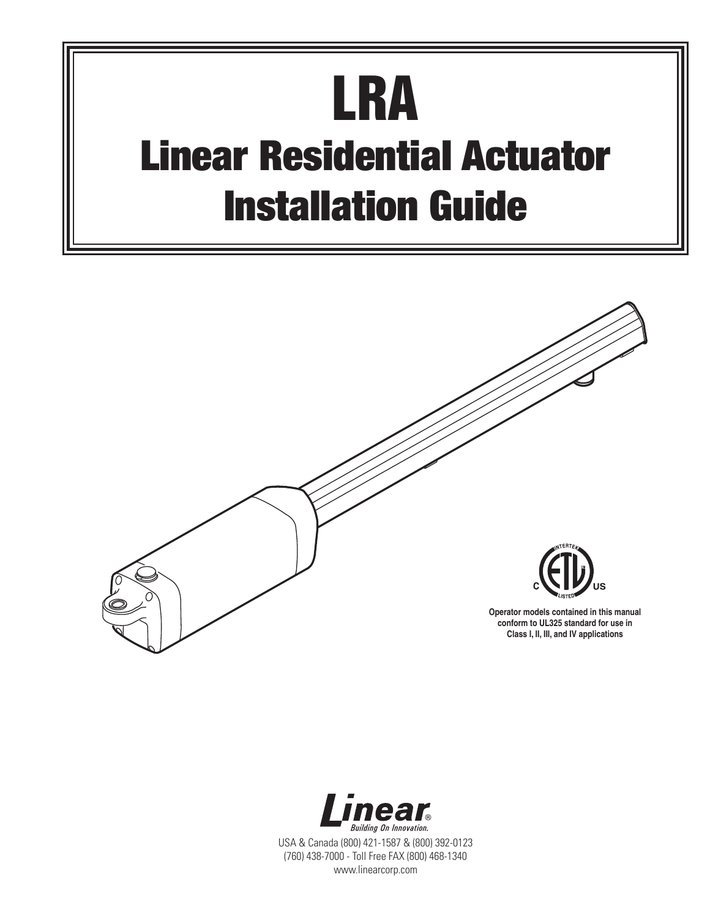# **LRA Linear Residential Actuator Installation Guide**



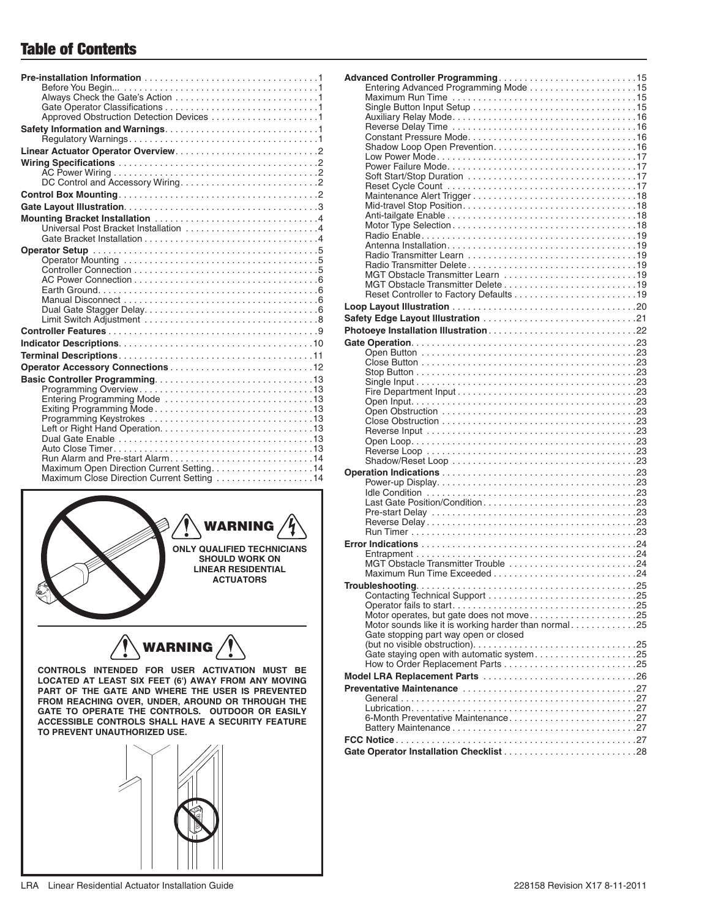## **Table of Contents**

| Maximum Open Direction Current Setting14<br>Maximum Close Direction Current Setting 14 |
|----------------------------------------------------------------------------------------|
|                                                                                        |



**CONTROLS INTENDED FOR USER ACTIVATION MUST BE LOCATED AT LEAST SIX FEET (6') AWAY FROM ANY MOVING PART OF THE GATE AND WHERE THE USER IS PREVENTED FROM REACHING OVER, UNDER, AROUND OR THROUGH THE GATE TO OPERATE THE CONTROLS. OUTDOOR OR EASILY ACCESSIBLE CONTROLS SHALL HAVE A SECURITY FEATURE TO PREVENT UNAUTHORIZED USE.**



| MGT Obstacle Transmitter Learn 19                                                             |  |
|-----------------------------------------------------------------------------------------------|--|
|                                                                                               |  |
|                                                                                               |  |
|                                                                                               |  |
|                                                                                               |  |
|                                                                                               |  |
|                                                                                               |  |
|                                                                                               |  |
|                                                                                               |  |
|                                                                                               |  |
|                                                                                               |  |
|                                                                                               |  |
|                                                                                               |  |
|                                                                                               |  |
|                                                                                               |  |
|                                                                                               |  |
|                                                                                               |  |
|                                                                                               |  |
|                                                                                               |  |
|                                                                                               |  |
|                                                                                               |  |
|                                                                                               |  |
|                                                                                               |  |
|                                                                                               |  |
|                                                                                               |  |
|                                                                                               |  |
|                                                                                               |  |
|                                                                                               |  |
|                                                                                               |  |
| MGT Obstacle Transmitter Trouble 24                                                           |  |
|                                                                                               |  |
|                                                                                               |  |
|                                                                                               |  |
|                                                                                               |  |
| Motor operates, but gate does not move25                                                      |  |
| Motor sounds like it is working harder than normal25<br>Gate stopping part way open or closed |  |
|                                                                                               |  |
| Gate staying open with automatic system25                                                     |  |
|                                                                                               |  |
|                                                                                               |  |
|                                                                                               |  |
|                                                                                               |  |
|                                                                                               |  |
|                                                                                               |  |
| 6-Month Preventative Maintenance27                                                            |  |
|                                                                                               |  |
|                                                                                               |  |
| Gate Operator Installation Checklist 28                                                       |  |
|                                                                                               |  |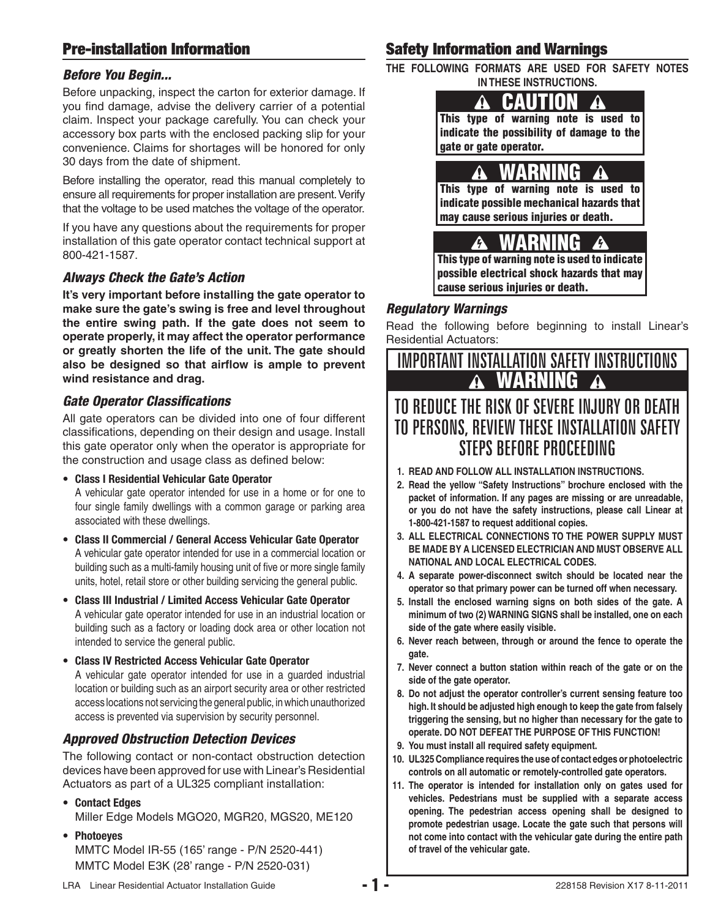## **Pre-installation Information**

#### *Before You Begin...*

Before unpacking, inspect the carton for exterior damage. If you find damage, advise the delivery carrier of a potential claim. Inspect your package carefully. You can check your accessory box parts with the enclosed packing slip for your convenience. Claims for shortages will be honored for only 30 days from the date of shipment.

Before installing the operator, read this manual completely to ensure all requirements for proper installation are present. Verify that the voltage to be used matches the voltage of the operator.

If you have any questions about the requirements for proper installation of this gate operator contact technical support at 800-421-1587.

#### *Always Check the Gate's Action*

**It's very important before installing the gate operator to make sure the gate's swing is free and level throughout the entire swing path. If the gate does not seem to operate properly, it may affect the operator performance or greatly shorten the life of the unit. The gate should**  also be designed so that airflow is ample to prevent **wind resistance and drag.**

#### *Gate Operator Classifi cations*

All gate operators can be divided into one of four different classifications, depending on their design and usage. Install this gate operator only when the operator is appropriate for the construction and usage class as defined below:

**• Class I Residential Vehicular Gate Operator**

A vehicular gate operator intended for use in a home or for one to four single family dwellings with a common garage or parking area associated with these dwellings.

- **Class II Commercial / General Access Vehicular Gate Operator** A vehicular gate operator intended for use in a commercial location or building such as a multi-family housing unit of five or more single family units, hotel, retail store or other building servicing the general public.
- **Class III Industrial / Limited Access Vehicular Gate Operator** A vehicular gate operator intended for use in an industrial location or building such as a factory or loading dock area or other location not intended to service the general public.
- **Class IV Restricted Access Vehicular Gate Operator** A vehicular gate operator intended for use in a guarded industrial location or building such as an airport security area or other restricted access locations not servicing the general public, in which unauthorized access is prevented via supervision by security personnel.

#### *Approved Obstruction Detection Devices*

The following contact or non-contact obstruction detection devices have been approved for use with Linear's Residential Actuators as part of a UL325 compliant installation:

- **Contact Edges** Miller Edge Models MGO20, MGR20, MGS20, ME120
- **Photoeyes** MMTC Model IR-55 (165' range - P/N 2520-441) MMTC Model E3K (28' range - P/N 2520-031)

## **Safety Information and Warnings**

**THE FOLLOWING FORMATS ARE USED FOR SAFETY NOTES IN THESE INSTRUCTIONS.**



**This type of warning note is used to indicate the possibility of damage to the gate or gate operator.**

 **WARNING**   $\boldsymbol{\Lambda}$ **This type of warning note is used to indicate possible mechanical hazards that may cause serious injuries or death.**

 **WARNING This type of warning note is used to indicate possible electrical shock hazards that may cause serious injuries or death.**

#### *Regulatory Warnings*

Read the following before beginning to install Linear's Residential Actuators:

# IMPORTANT INSTALLATION SAFETY INSTRUCTIONS **WARNING**

# TO REDUCE THE RISK OF SEVERE INJURY OR DEATH TO PERSONS, REVIEW THESE INSTALLATION SAFETY STEPS BEFORE PROCEEDING

- **1. READ AND FOLLOW ALL INSTALLATION INSTRUCTIONS.**
- **2. Read the yellow "Safety Instructions" brochure enclosed with the packet of information. If any pages are missing or are unreadable, or you do not have the safety instructions, please call Linear at 1-800-421-1587 to request additional copies.**
- **3. ALL ELECTRICAL CONNECTIONS TO THE POWER SUPPLY MUST BE MADE BY A LICENSED ELECTRICIAN AND MUST OBSERVE ALL NATIONAL AND LOCAL ELECTRICAL CODES.**
- **4. A separate power-disconnect switch should be located near the operator so that primary power can be turned off when necessary.**
- **5. Install the enclosed warning signs on both sides of the gate. A minimum of two (2) WARNING SIGNS shall be installed, one on each side of the gate where easily visible.**
- **6. Never reach between, through or around the fence to operate the gate.**
- **7. Never connect a button station within reach of the gate or on the side of the gate operator.**
- **8. Do not adjust the operator controller's current sensing feature too high. It should be adjusted high enough to keep the gate from falsely triggering the sensing, but no higher than necessary for the gate to operate. DO NOT DEFEAT THE PURPOSE OF THIS FUNCTION!**
- **9. You must install all required safety equipment.**
- **10. UL325 Compliance requires the use of contact edges or photoelectric controls on all automatic or remotely-controlled gate operators.**
- **11. The operator is intended for installation only on gates used for vehicles. Pedestrians must be supplied with a separate access opening. The pedestrian access opening shall be designed to promote pedestrian usage. Locate the gate such that persons will not come into contact with the vehicular gate during the entire path of travel of the vehicular gate.**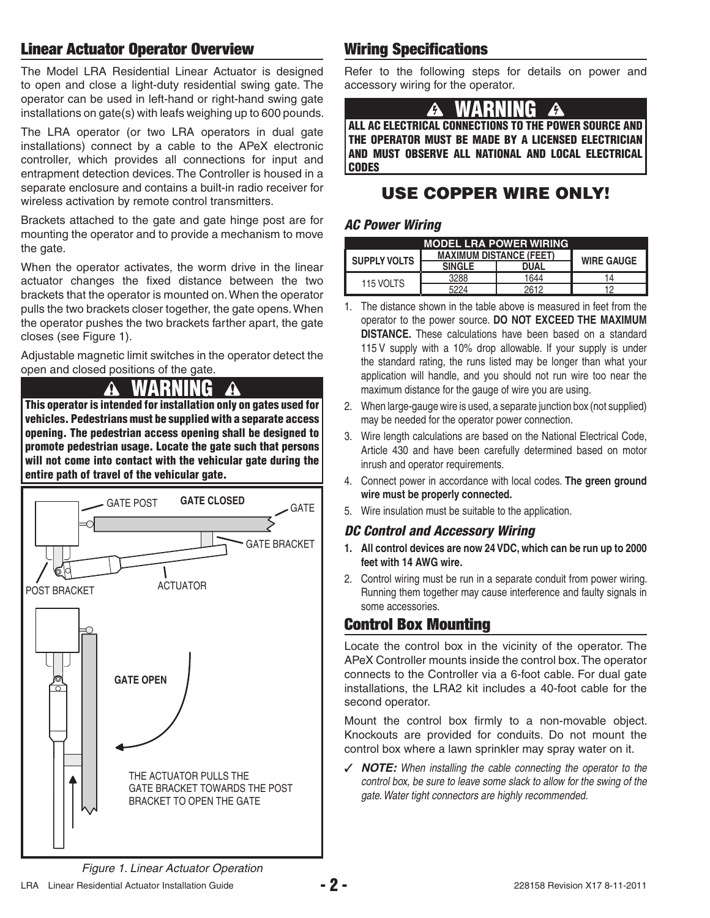## **Linear Actuator Operator Overview**

The Model LRA Residential Linear Actuator is designed to open and close a light-duty residential swing gate. The operator can be used in left-hand or right-hand swing gate installations on gate(s) with leafs weighing up to 600 pounds.

The LRA operator (or two LRA operators in dual gate installations) connect by a cable to the APeX electronic controller, which provides all connections for input and entrapment detection devices. The Controller is housed in a separate enclosure and contains a built-in radio receiver for wireless activation by remote control transmitters.

Brackets attached to the gate and gate hinge post are for mounting the operator and to provide a mechanism to move the gate.

When the operator activates, the worm drive in the linear actuator changes the fixed distance between the two brackets that the operator is mounted on. When the operator pulls the two brackets closer together, the gate opens. When the operator pushes the two brackets farther apart, the gate closes (see Figure 1).

Adjustable magnetic limit switches in the operator detect the open and closed positions of the gate.

#### **WARNING**  A

**This operator is intended for installation only on gates used for vehicles. Pedestrians must be supplied with a separate access opening. The pedestrian access opening shall be designed to promote pedestrian usage. Locate the gate such that persons will not come into contact with the vehicular gate during the entire path of travel of the vehicular gate.**



## **Wiring Specifications**

Refer to the following steps for details on power and accessory wiring for the operator.

# **WARNING**

**ALL AC ELECTRICAL CONNECTIONS TO THE POWER SOURCE AND THE OPERATOR MUST BE MADE BY A LICENSED ELECTRICIAN AND MUST OBSERVE ALL NATIONAL AND LOCAL ELECTRICAL CODES**

## **USE COPPER WIRE ONLY!**

#### *AC Power Wiring*

| <b>MODEL LRA POWER WIRING</b> |                                |                   |    |  |
|-------------------------------|--------------------------------|-------------------|----|--|
| <b>SUPPLY VOLTS</b>           | <b>MAXIMUM DISTANCE (FEET)</b> | <b>WIRE GAUGE</b> |    |  |
|                               | <b>SINGLE</b>                  | <b>DUAL</b>       |    |  |
| 115 VOLTS                     | 3288                           | 1644              | 14 |  |
|                               |                                | 2612              |    |  |

- 1. The distance shown in the table above is measured in feet from the operator to the power source. **DO NOT EXCEED THE MAXIMUM DISTANCE.** These calculations have been based on a standard 115 V supply with a 10% drop allowable. If your supply is under the standard rating, the runs listed may be longer than what your application will handle, and you should not run wire too near the maximum distance for the gauge of wire you are using.
- 2. When large-gauge wire is used, a separate junction box (not supplied) may be needed for the operator power connection.
- 3. Wire length calculations are based on the National Electrical Code, Article 430 and have been carefully determined based on motor inrush and operator requirements.
- 4. Connect power in accordance with local codes. **The green ground wire must be properly connected.**
- 5. Wire insulation must be suitable to the application.

#### *DC Control and Accessory Wiring*

- **1. All control devices are now 24 VDC, which can be run up to 2000 feet with 14 AWG wire.**
- 2. Control wiring must be run in a separate conduit from power wiring. Running them together may cause interference and faulty signals in some accessories.

## **Control Box Mounting**

Locate the control box in the vicinity of the operator. The APeX Controller mounts inside the control box. The operator connects to the Controller via a 6-foot cable. For dual gate installations, the LRA2 kit includes a 40-foot cable for the second operator.

Mount the control box firmly to a non-movable object. Knockouts are provided for conduits. Do not mount the control box where a lawn sprinkler may spray water on it.

✓ *NOTE: When installing the cable connecting the operator to the control box, be sure to leave some slack to allow for the swing of the gate. Water tight connectors are highly recommended.*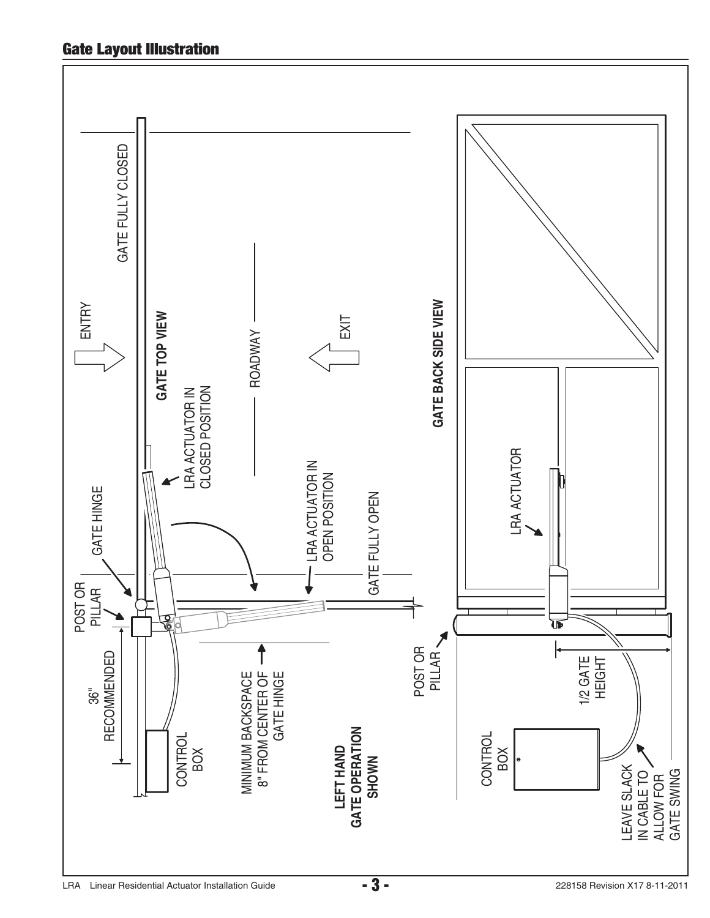## **Gate Layout Illustration**

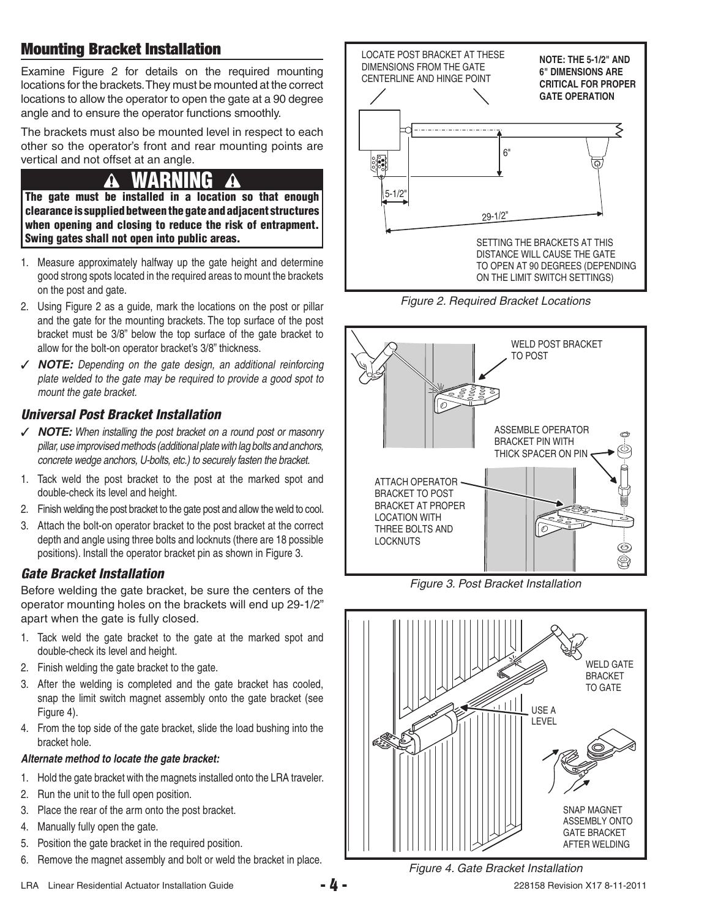## **Mounting Bracket Installation**

Examine Figure 2 for details on the required mounting locations for the brackets. They must be mounted at the correct locations to allow the operator to open the gate at a 90 degree angle and to ensure the operator functions smoothly.

The brackets must also be mounted level in respect to each other so the operator's front and rear mounting points are vertical and not offset at an angle.

# **NA**

**The gate must be installed in a location so that enough clearance is supplied between the gate and adjacent structures when opening and closing to reduce the risk of entrapment. Swing gates shall not open into public areas.**

- 1. Measure approximately halfway up the gate height and determine good strong spots located in the required areas to mount the brackets on the post and gate.
- 2. Using Figure 2 as a guide, mark the locations on the post or pillar and the gate for the mounting brackets. The top surface of the post bracket must be 3/8" below the top surface of the gate bracket to allow for the bolt-on operator bracket's 3/8" thickness.
- ✓ *NOTE: Depending on the gate design, an additional reinforcing plate welded to the gate may be required to provide a good spot to mount the gate bracket.*

## *Universal Post Bracket Installation*

- ✓ *NOTE: When installing the post bracket on a round post or masonry pillar, use improvised methods (additional plate with lag bolts and anchors, concrete wedge anchors, U-bolts, etc.) to securely fasten the bracket.*
- 1. Tack weld the post bracket to the post at the marked spot and double-check its level and height.
- 2. Finish welding the post bracket to the gate post and allow the weld to cool.
- 3. Attach the bolt-on operator bracket to the post bracket at the correct depth and angle using three bolts and locknuts (there are 18 possible positions). Install the operator bracket pin as shown in Figure 3.

## *Gate Bracket Installation*

Before welding the gate bracket, be sure the centers of the operator mounting holes on the brackets will end up 29-1/2" apart when the gate is fully closed.

- 1. Tack weld the gate bracket to the gate at the marked spot and double-check its level and height.
- 2. Finish welding the gate bracket to the gate.
- 3. After the welding is completed and the gate bracket has cooled, snap the limit switch magnet assembly onto the gate bracket (see Figure 4).
- 4. From the top side of the gate bracket, slide the load bushing into the bracket hole.

#### *Alternate method to locate the gate bracket:*

- 1. Hold the gate bracket with the magnets installed onto the LRA traveler.
- 2. Run the unit to the full open position.
- 3. Place the rear of the arm onto the post bracket.
- 4. Manually fully open the gate.
- 5. Position the gate bracket in the required position.
- 6. Remove the magnet assembly and bolt or weld the bracket in place.







*Figure 3. Post Bracket Installation*



*Figure 4. Gate Bracket Installation*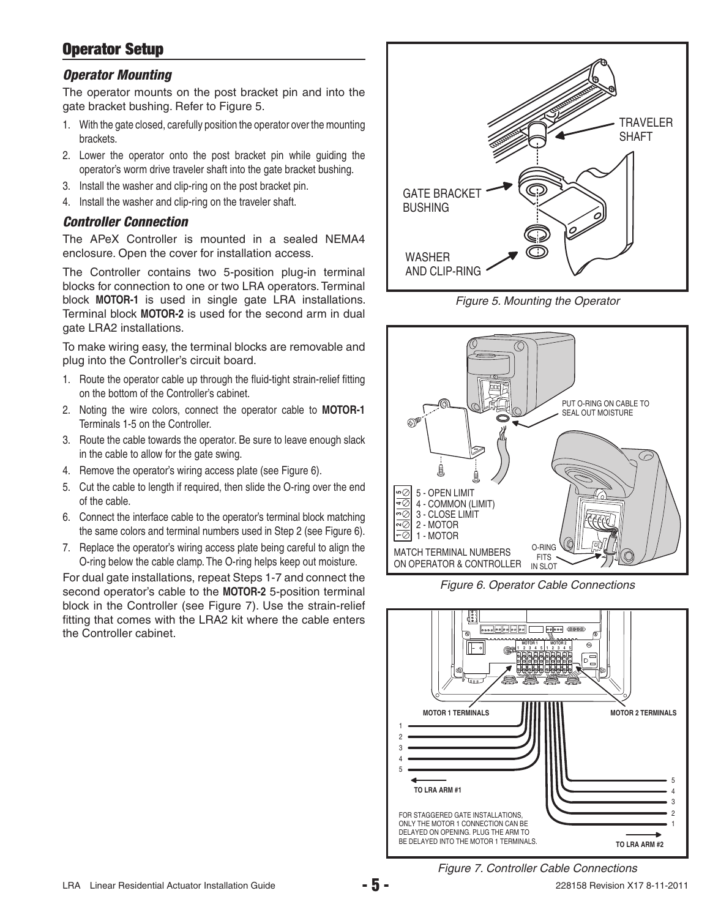## **Operator Setup**

#### *Operator Mounting*

The operator mounts on the post bracket pin and into the gate bracket bushing. Refer to Figure 5.

- 1. With the gate closed, carefully position the operator over the mounting brackets.
- 2. Lower the operator onto the post bracket pin while guiding the operator's worm drive traveler shaft into the gate bracket bushing.
- 3. Install the washer and clip-ring on the post bracket pin.
- 4. Install the washer and clip-ring on the traveler shaft.

#### *Controller Connection*

The APeX Controller is mounted in a sealed NEMA4 enclosure. Open the cover for installation access.

The Controller contains two 5-position plug-in terminal blocks for connection to one or two LRA operators. Terminal block **MOTOR-1** is used in single gate LRA installations. Terminal block **MOTOR-2** is used for the second arm in dual gate LRA2 installations.

To make wiring easy, the terminal blocks are removable and plug into the Controller's circuit board.

- 1. Route the operator cable up through the fluid-tight strain-relief fitting on the bottom of the Controller's cabinet.
- 2. Noting the wire colors, connect the operator cable to **MOTOR-1** Terminals 1-5 on the Controller.
- 3. Route the cable towards the operator. Be sure to leave enough slack in the cable to allow for the gate swing.
- 4. Remove the operator's wiring access plate (see Figure 6).
- 5. Cut the cable to length if required, then slide the O-ring over the end of the cable.
- 6. Connect the interface cable to the operator's terminal block matching the same colors and terminal numbers used in Step 2 (see Figure 6).
- 7. Replace the operator's wiring access plate being careful to align the O-ring below the cable clamp. The O-ring helps keep out moisture.

For dual gate installations, repeat Steps 1-7 and connect the second operator's cable to the **MOTOR-2** 5-position terminal block in the Controller (see Figure 7). Use the strain-relief fitting that comes with the LRA2 kit where the cable enters the Controller cabinet.



*Figure 5. Mounting the Operator*



*Figure 6. Operator Cable Connections*



*Figure 7. Controller Cable Connections*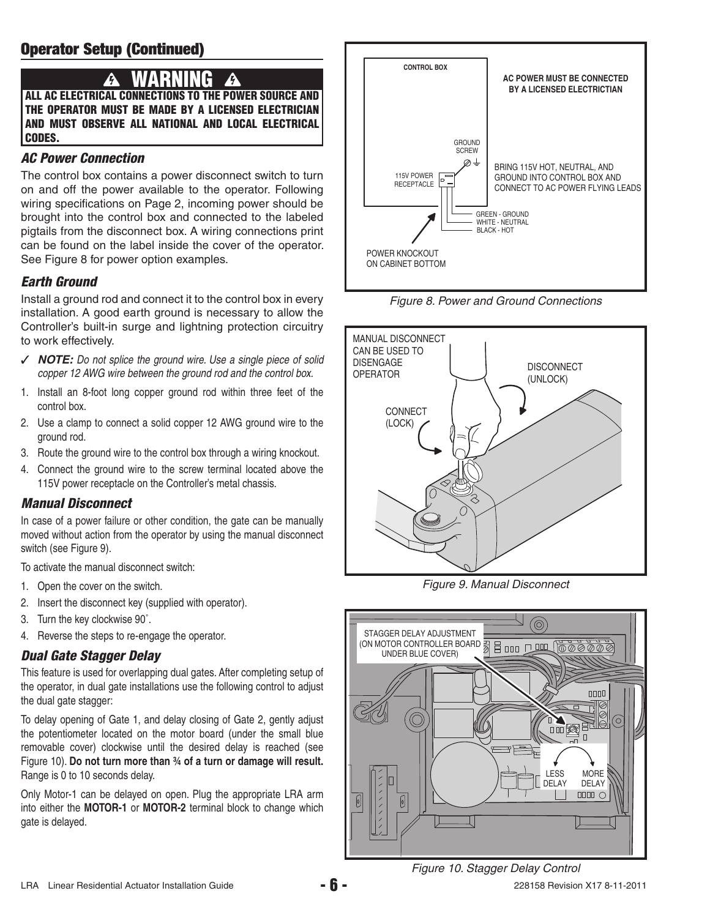# **WARNING**

**ALL AC ELECTRICAL CONNECTIONS TO THE POWER SOURCE AND THE OPERATOR MUST BE MADE BY A LICENSED ELECTRICIAN AND MUST OBSERVE ALL NATIONAL AND LOCAL ELECTRICAL CODES.**

## *AC Power Connection*

The control box contains a power disconnect switch to turn on and off the power available to the operator. Following wiring specifications on Page 2, incoming power should be brought into the control box and connected to the labeled pigtails from the disconnect box. A wiring connections print can be found on the label inside the cover of the operator. See Figure 8 for power option examples.

## *Earth Ground*

Install a ground rod and connect it to the control box in every installation. A good earth ground is necessary to allow the Controller's built-in surge and lightning protection circuitry to work effectively.

- ✓ *NOTE: Do not splice the ground wire. Use a single piece of solid copper 12 AWG wire between the ground rod and the control box.*
- 1. Install an 8-foot long copper ground rod within three feet of the control box.
- 2. Use a clamp to connect a solid copper 12 AWG ground wire to the ground rod.
- 3. Route the ground wire to the control box through a wiring knockout.
- 4. Connect the ground wire to the screw terminal located above the 115V power receptacle on the Controller's metal chassis.

### *Manual Disconnect*

In case of a power failure or other condition, the gate can be manually moved without action from the operator by using the manual disconnect switch (see Figure 9).

To activate the manual disconnect switch:

- 1. Open the cover on the switch.
- 2. Insert the disconnect key (supplied with operator).
- 3. Turn the key clockwise 90˚.
- 4. Reverse the steps to re-engage the operator.

## *Dual Gate Stagger Delay*

This feature is used for overlapping dual gates. After completing setup of the operator, in dual gate installations use the following control to adjust the dual gate stagger:

To delay opening of Gate 1, and delay closing of Gate 2, gently adjust the potentiometer located on the motor board (under the small blue removable cover) clockwise until the desired delay is reached (see Figure 10). **Do not turn more than ¾ of a turn or damage will result.** Range is 0 to 10 seconds delay.

Only Motor-1 can be delayed on open. Plug the appropriate LRA arm into either the **MOTOR-1** or **MOTOR-2** terminal block to change which gate is delayed.







*Figure 9. Manual Disconnect*



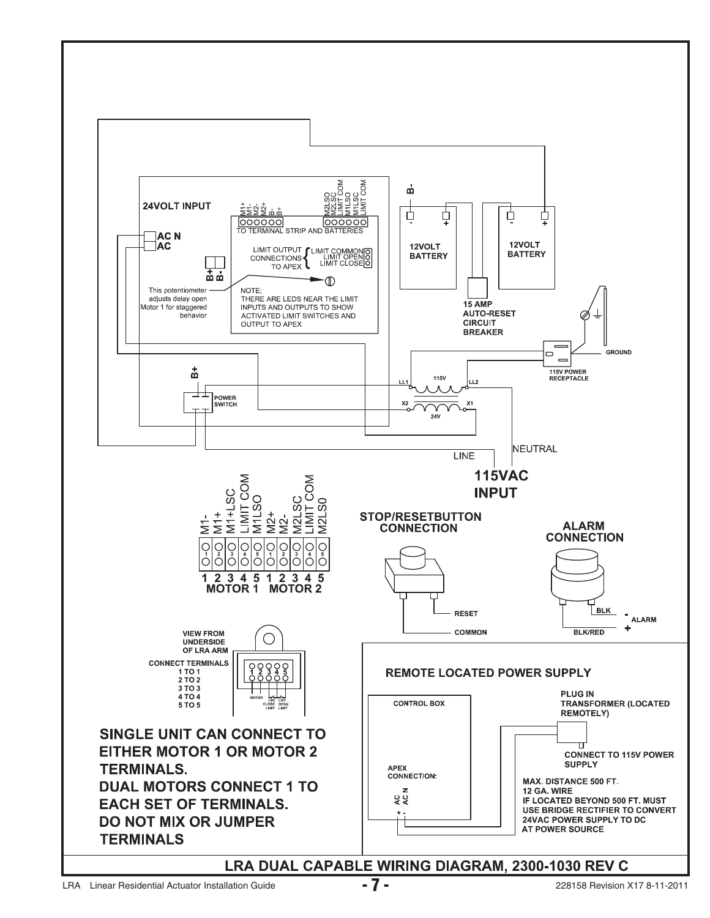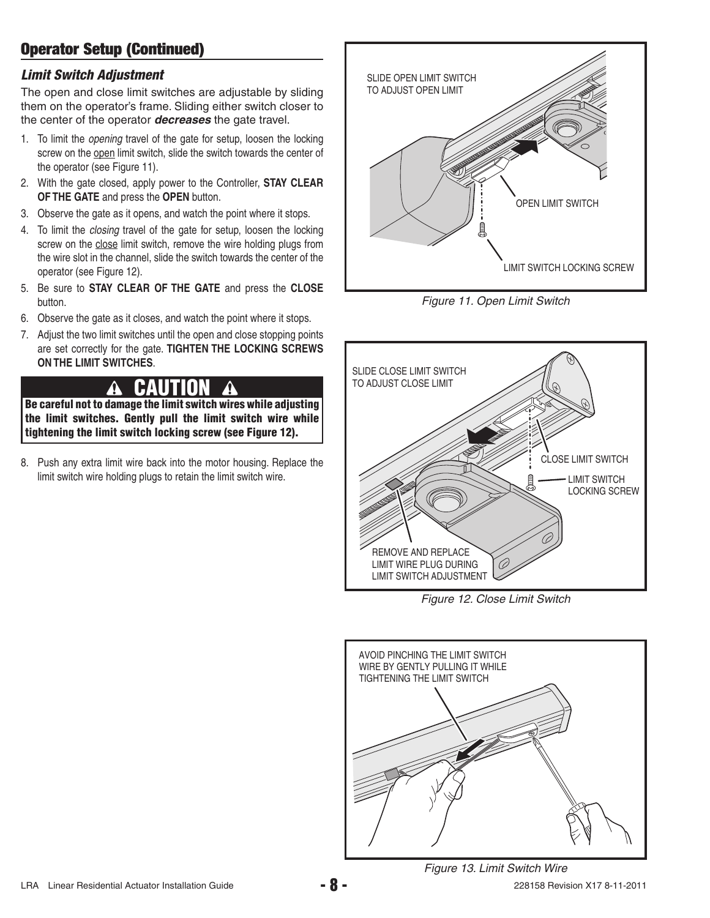## **Operator Setup (Continued)**

#### *Limit Switch Adjustment*

The open and close limit switches are adjustable by sliding them on the operator's frame. Sliding either switch closer to the center of the operator *decreases* the gate travel.

- 1. To limit the *opening* travel of the gate for setup, loosen the locking screw on the open limit switch, slide the switch towards the center of the operator (see Figure 11).
- 2. With the gate closed, apply power to the Controller, **STAY CLEAR OF THE GATE** and press the **OPEN** button.
- 3. Observe the gate as it opens, and watch the point where it stops.
- 4. To limit the *closing* travel of the gate for setup, loosen the locking screw on the close limit switch, remove the wire holding plugs from the wire slot in the channel, slide the switch towards the center of the operator (see Figure 12).
- 5. Be sure to **STAY CLEAR OF THE GATE** and press the **CLOSE**  button.
- 6. Observe the gate as it closes, and watch the point where it stops.
- 7. Adjust the two limit switches until the open and close stopping points are set correctly for the gate. **TIGHTEN THE LOCKING SCREWS ON THE LIMIT SWITCHES**.

#### $\boldsymbol{\Lambda}$  **CAUTION**

**Be careful not to damage the limit switch wires while adjusting the limit switches. Gently pull the limit switch wire while tightening the limit switch locking screw (see Figure 12).**

8. Push any extra limit wire back into the motor housing. Replace the limit switch wire holding plugs to retain the limit switch wire.



*Figure 11. Open Limit Switch*



*Figure 12. Close Limit Switch*

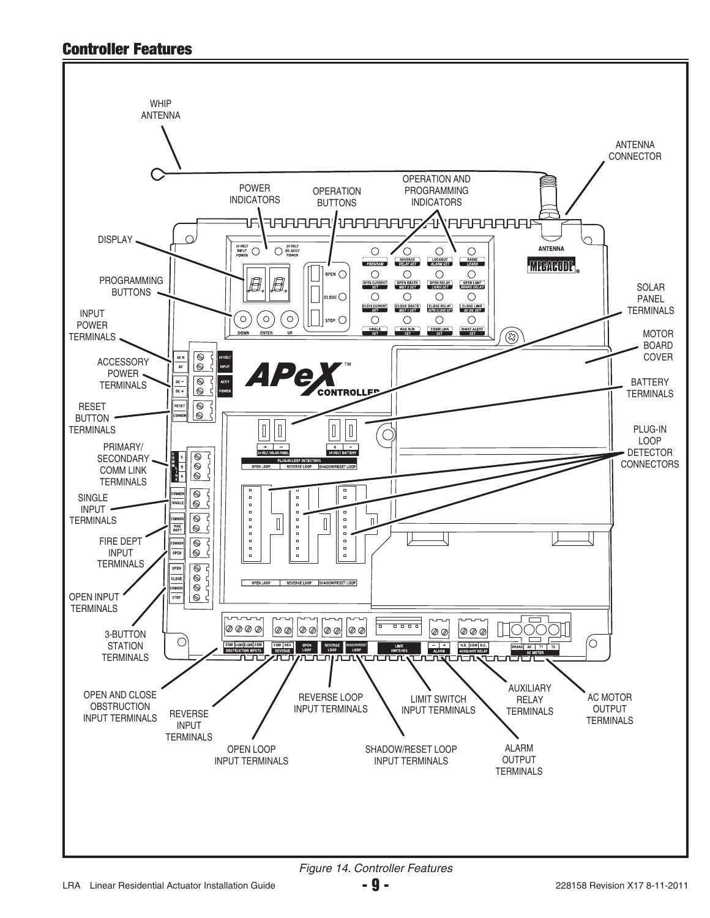## **Controller Features**

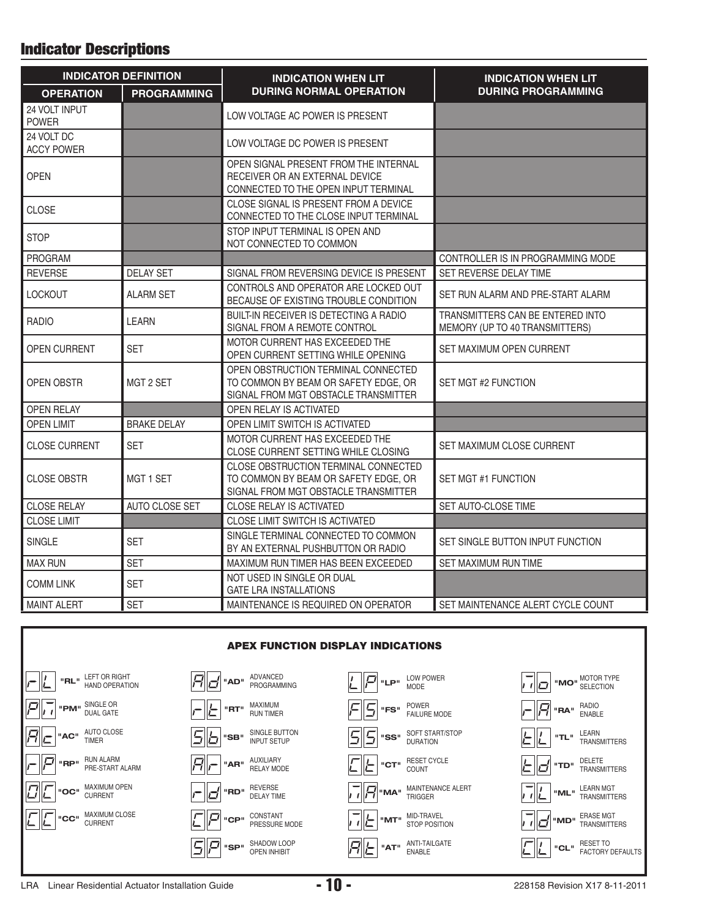## **Indicator Descriptions**

|                                 | <b>INDICATOR DEFINITION</b> | <b>INDICATION WHEN LIT</b>                                                                                           | <b>INDICATION WHEN LIT</b>                                         |  |
|---------------------------------|-----------------------------|----------------------------------------------------------------------------------------------------------------------|--------------------------------------------------------------------|--|
| <b>OPERATION</b>                | <b>PROGRAMMING</b>          | <b>DURING NORMAL OPERATION</b>                                                                                       | <b>DURING PROGRAMMING</b>                                          |  |
| 24 VOLT INPUT<br><b>POWER</b>   |                             | LOW VOLTAGE AC POWER IS PRESENT                                                                                      |                                                                    |  |
| 24 VOLT DC<br><b>ACCY POWER</b> |                             | LOW VOLTAGE DC POWER IS PRESENT                                                                                      |                                                                    |  |
| <b>OPEN</b>                     |                             | OPEN SIGNAL PRESENT FROM THE INTERNAL<br>RECEIVER OR AN EXTERNAL DEVICE<br>CONNECTED TO THE OPEN INPUT TERMINAL      |                                                                    |  |
| <b>CLOSE</b>                    |                             | CLOSE SIGNAL IS PRESENT FROM A DEVICE<br>CONNECTED TO THE CLOSE INPUT TERMINAL                                       |                                                                    |  |
| <b>STOP</b>                     |                             | STOP INPUT TERMINAL IS OPEN AND<br>NOT CONNECTED TO COMMON                                                           |                                                                    |  |
| PROGRAM                         |                             |                                                                                                                      | CONTROLLER IS IN PROGRAMMING MODE                                  |  |
| <b>REVERSE</b>                  | <b>DELAY SET</b>            | SIGNAL FROM REVERSING DEVICE IS PRESENT                                                                              | SET REVERSE DELAY TIME                                             |  |
| <b>LOCKOUT</b>                  | <b>ALARM SET</b>            | CONTROLS AND OPERATOR ARE LOCKED OUT<br>BECAUSE OF EXISTING TROUBLE CONDITION                                        | SET RUN ALARM AND PRE-START ALARM                                  |  |
| <b>RADIO</b>                    | LEARN                       | BUILT-IN RECEIVER IS DETECTING A RADIO<br>SIGNAL FROM A REMOTE CONTROL                                               | TRANSMITTERS CAN BE ENTERED INTO<br>MEMORY (UP TO 40 TRANSMITTERS) |  |
| <b>OPEN CURRENT</b>             | <b>SET</b>                  | MOTOR CURRENT HAS EXCEEDED THE<br>OPEN CURRENT SETTING WHILE OPENING                                                 | SET MAXIMUM OPEN CURRENT                                           |  |
| <b>OPEN OBSTR</b><br>MGT 2 SET  |                             | OPEN OBSTRUCTION TERMINAL CONNECTED<br>TO COMMON BY BEAM OR SAFETY EDGE, OR<br>SIGNAL FROM MGT OBSTACLE TRANSMITTER  | SET MGT #2 FUNCTION                                                |  |
| <b>OPEN RELAY</b>               |                             | OPEN RELAY IS ACTIVATED                                                                                              |                                                                    |  |
| <b>OPEN LIMIT</b>               | <b>BRAKE DELAY</b>          | OPEN LIMIT SWITCH IS ACTIVATED                                                                                       |                                                                    |  |
| <b>CLOSE CURRENT</b>            | <b>SET</b>                  | MOTOR CURRENT HAS EXCEEDED THE<br>CLOSE CURRENT SETTING WHILE CLOSING                                                | SET MAXIMUM CLOSE CURRENT                                          |  |
| <b>CLOSE OBSTR</b>              | MGT 1 SET                   | CLOSE OBSTRUCTION TERMINAL CONNECTED<br>TO COMMON BY BEAM OR SAFETY EDGE, OR<br>SIGNAL FROM MGT OBSTACLE TRANSMITTER | SET MGT #1 FUNCTION                                                |  |
| <b>CLOSE RELAY</b>              | AUTO CLOSE SET              | <b>CLOSE RELAY IS ACTIVATED</b>                                                                                      | SET AUTO-CLOSE TIME                                                |  |
| <b>CLOSE LIMIT</b>              |                             | CLOSE LIMIT SWITCH IS ACTIVATED                                                                                      |                                                                    |  |
| <b>SINGLE</b>                   | <b>SET</b>                  | SINGLE TERMINAL CONNECTED TO COMMON<br>BY AN EXTERNAL PUSHBUTTON OR RADIO                                            | SET SINGLE BUTTON INPUT FUNCTION                                   |  |
| <b>MAX RUN</b>                  | <b>SET</b>                  | MAXIMUM RUN TIMER HAS BEEN EXCEEDED                                                                                  | <b>SET MAXIMUM RUN TIME</b>                                        |  |
| <b>COMM LINK</b>                | <b>SET</b>                  | NOT USED IN SINGLE OR DUAL<br><b>GATE LRA INSTALLATIONS</b>                                                          |                                                                    |  |
| <b>MAINT ALERT</b>              | <b>SET</b>                  | MAINTENANCE IS REQUIRED ON OPERATOR                                                                                  | SET MAINTENANCE ALERT CYCLE COUNT                                  |  |

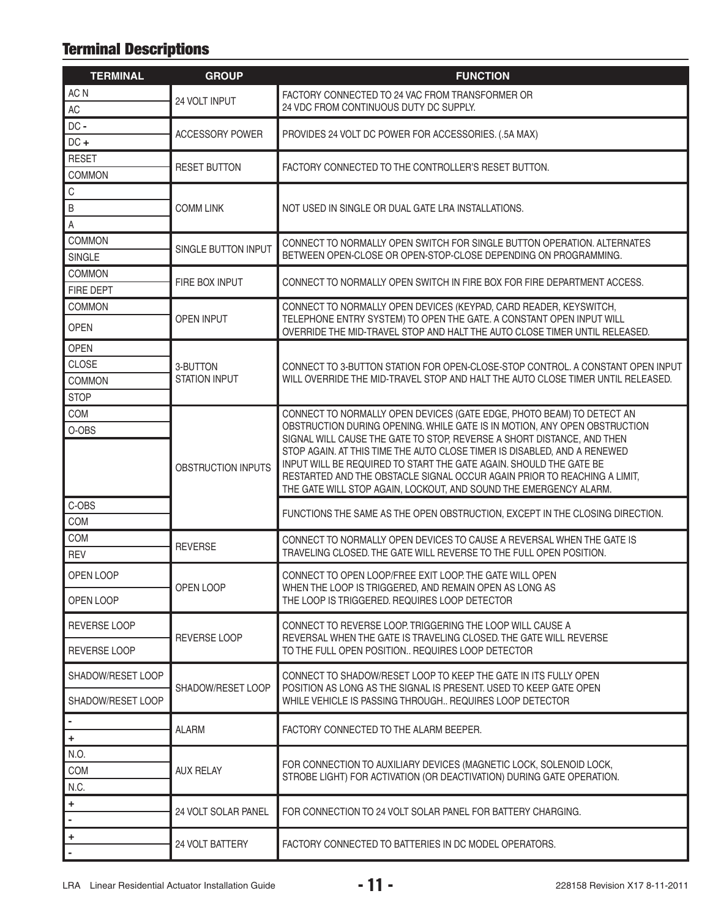# **Terminal Descriptions**

| <b>TERMINAL</b>              | <b>GROUP</b>               | <b>FUNCTION</b>                                                                                                                                                                                                                                                                                                                                                                                                                                        |  |  |  |
|------------------------------|----------------------------|--------------------------------------------------------------------------------------------------------------------------------------------------------------------------------------------------------------------------------------------------------------------------------------------------------------------------------------------------------------------------------------------------------------------------------------------------------|--|--|--|
| AC N                         | 24 VOLT INPUT              | FACTORY CONNECTED TO 24 VAC FROM TRANSFORMER OR                                                                                                                                                                                                                                                                                                                                                                                                        |  |  |  |
| AC                           |                            | 24 VDC FROM CONTINUOUS DUTY DC SUPPLY.                                                                                                                                                                                                                                                                                                                                                                                                                 |  |  |  |
| DC-                          | <b>ACCESSORY POWER</b>     | PROVIDES 24 VOLT DC POWER FOR ACCESSORIES. (.5A MAX)                                                                                                                                                                                                                                                                                                                                                                                                   |  |  |  |
| $DC +$                       |                            |                                                                                                                                                                                                                                                                                                                                                                                                                                                        |  |  |  |
| <b>RESET</b>                 | <b>RESET BUTTON</b>        | FACTORY CONNECTED TO THE CONTROLLER'S RESET BUTTON.                                                                                                                                                                                                                                                                                                                                                                                                    |  |  |  |
| COMMON                       |                            |                                                                                                                                                                                                                                                                                                                                                                                                                                                        |  |  |  |
| $\mathsf C$                  |                            |                                                                                                                                                                                                                                                                                                                                                                                                                                                        |  |  |  |
| B                            | <b>COMM LINK</b>           | NOT USED IN SINGLE OR DUAL GATE LRA INSTALLATIONS.                                                                                                                                                                                                                                                                                                                                                                                                     |  |  |  |
| $\mathsf A$<br><b>COMMON</b> |                            |                                                                                                                                                                                                                                                                                                                                                                                                                                                        |  |  |  |
| <b>SINGLE</b>                | SINGLE BUTTON INPUT        | CONNECT TO NORMALLY OPEN SWITCH FOR SINGLE BUTTON OPERATION. ALTERNATES<br>BETWEEN OPEN-CLOSE OR OPEN-STOP-CLOSE DEPENDING ON PROGRAMMING.                                                                                                                                                                                                                                                                                                             |  |  |  |
| <b>COMMON</b>                |                            |                                                                                                                                                                                                                                                                                                                                                                                                                                                        |  |  |  |
| FIRE DEPT                    | FIRE BOX INPUT             | CONNECT TO NORMALLY OPEN SWITCH IN FIRE BOX FOR FIRE DEPARTMENT ACCESS.                                                                                                                                                                                                                                                                                                                                                                                |  |  |  |
| <b>COMMON</b>                |                            | CONNECT TO NORMALLY OPEN DEVICES (KEYPAD, CARD READER, KEYSWITCH,                                                                                                                                                                                                                                                                                                                                                                                      |  |  |  |
| <b>OPEN</b>                  | <b>OPEN INPUT</b>          | TELEPHONE ENTRY SYSTEM) TO OPEN THE GATE. A CONSTANT OPEN INPUT WILL<br>OVERRIDE THE MID-TRAVEL STOP AND HALT THE AUTO CLOSE TIMER UNTIL RELEASED.                                                                                                                                                                                                                                                                                                     |  |  |  |
| <b>OPEN</b>                  |                            |                                                                                                                                                                                                                                                                                                                                                                                                                                                        |  |  |  |
| <b>CLOSE</b>                 | 3-BUTTON                   | CONNECT TO 3-BUTTON STATION FOR OPEN-CLOSE-STOP CONTROL. A CONSTANT OPEN INPUT                                                                                                                                                                                                                                                                                                                                                                         |  |  |  |
| <b>COMMON</b>                | <b>STATION INPUT</b>       | WILL OVERRIDE THE MID-TRAVEL STOP AND HALT THE AUTO CLOSE TIMER UNTIL RELEASED.                                                                                                                                                                                                                                                                                                                                                                        |  |  |  |
| <b>STOP</b>                  |                            |                                                                                                                                                                                                                                                                                                                                                                                                                                                        |  |  |  |
| COM                          |                            | CONNECT TO NORMALLY OPEN DEVICES (GATE EDGE, PHOTO BEAM) TO DETECT AN                                                                                                                                                                                                                                                                                                                                                                                  |  |  |  |
| O-OBS                        | OBSTRUCTION INPUTS         | OBSTRUCTION DURING OPENING. WHILE GATE IS IN MOTION, ANY OPEN OBSTRUCTION<br>SIGNAL WILL CAUSE THE GATE TO STOP, REVERSE A SHORT DISTANCE, AND THEN<br>STOP AGAIN. AT THIS TIME THE AUTO CLOSE TIMER IS DISABLED, AND A RENEWED<br>INPUT WILL BE REQUIRED TO START THE GATE AGAIN. SHOULD THE GATE BE<br>RESTARTED AND THE OBSTACLE SIGNAL OCCUR AGAIN PRIOR TO REACHING A LIMIT,<br>THE GATE WILL STOP AGAIN, LOCKOUT, AND SOUND THE EMERGENCY ALARM. |  |  |  |
| C-OBS                        |                            | FUNCTIONS THE SAME AS THE OPEN OBSTRUCTION, EXCEPT IN THE CLOSING DIRECTION.                                                                                                                                                                                                                                                                                                                                                                           |  |  |  |
| COM                          |                            |                                                                                                                                                                                                                                                                                                                                                                                                                                                        |  |  |  |
| COM<br><b>REV</b>            | <b>REVERSE</b>             | CONNECT TO NORMALLY OPEN DEVICES TO CAUSE A REVERSAL WHEN THE GATE IS<br>TRAVELING CLOSED. THE GATE WILL REVERSE TO THE FULL OPEN POSITION.                                                                                                                                                                                                                                                                                                            |  |  |  |
| OPEN LOOP                    | OPEN LOOP                  | CONNECT TO OPEN LOOP/FREE EXIT LOOP. THE GATE WILL OPEN<br>WHEN THE LOOP IS TRIGGERED, AND REMAIN OPEN AS LONG AS                                                                                                                                                                                                                                                                                                                                      |  |  |  |
| OPEN LOOP                    |                            | THE LOOP IS TRIGGERED. REQUIRES LOOP DETECTOR                                                                                                                                                                                                                                                                                                                                                                                                          |  |  |  |
| REVERSE LOOP                 | REVERSE LOOP               | CONNECT TO REVERSE LOOP. TRIGGERING THE LOOP WILL CAUSE A<br>REVERSAL WHEN THE GATE IS TRAVELING CLOSED. THE GATE WILL REVERSE                                                                                                                                                                                                                                                                                                                         |  |  |  |
| REVERSE LOOP                 |                            | TO THE FULL OPEN POSITION REQUIRES LOOP DETECTOR                                                                                                                                                                                                                                                                                                                                                                                                       |  |  |  |
| SHADOW/RESET LOOP            | SHADOW/RESET LOOP          | CONNECT TO SHADOW/RESET LOOP TO KEEP THE GATE IN ITS FULLY OPEN<br>POSITION AS LONG AS THE SIGNAL IS PRESENT. USED TO KEEP GATE OPEN                                                                                                                                                                                                                                                                                                                   |  |  |  |
| SHADOW/RESET LOOP            |                            | WHILE VEHICLE IS PASSING THROUGH REQUIRES LOOP DETECTOR                                                                                                                                                                                                                                                                                                                                                                                                |  |  |  |
| $\pmb{+}$                    | <b>ALARM</b>               | FACTORY CONNECTED TO THE ALARM BEEPER.                                                                                                                                                                                                                                                                                                                                                                                                                 |  |  |  |
| N.O.                         |                            |                                                                                                                                                                                                                                                                                                                                                                                                                                                        |  |  |  |
| COM                          | <b>AUX RELAY</b>           | FOR CONNECTION TO AUXILIARY DEVICES (MAGNETIC LOCK, SOLENOID LOCK,                                                                                                                                                                                                                                                                                                                                                                                     |  |  |  |
| N.C.                         |                            | STROBE LIGHT) FOR ACTIVATION (OR DEACTIVATION) DURING GATE OPERATION.                                                                                                                                                                                                                                                                                                                                                                                  |  |  |  |
| $\ddag$<br>$\blacksquare$    | <b>24 VOLT SOLAR PANEL</b> | FOR CONNECTION TO 24 VOLT SOLAR PANEL FOR BATTERY CHARGING.                                                                                                                                                                                                                                                                                                                                                                                            |  |  |  |
| +                            |                            |                                                                                                                                                                                                                                                                                                                                                                                                                                                        |  |  |  |
|                              | 24 VOLT BATTERY            | FACTORY CONNECTED TO BATTERIES IN DC MODEL OPERATORS.                                                                                                                                                                                                                                                                                                                                                                                                  |  |  |  |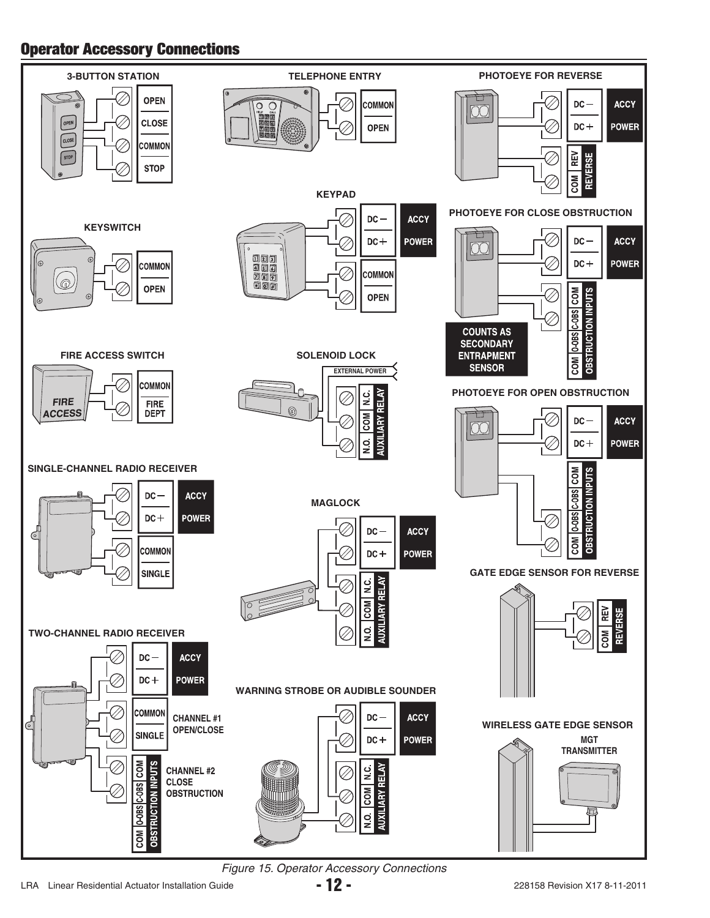## **Operator Accessory Connections**



*Figure 15. Operator Accessory Connections*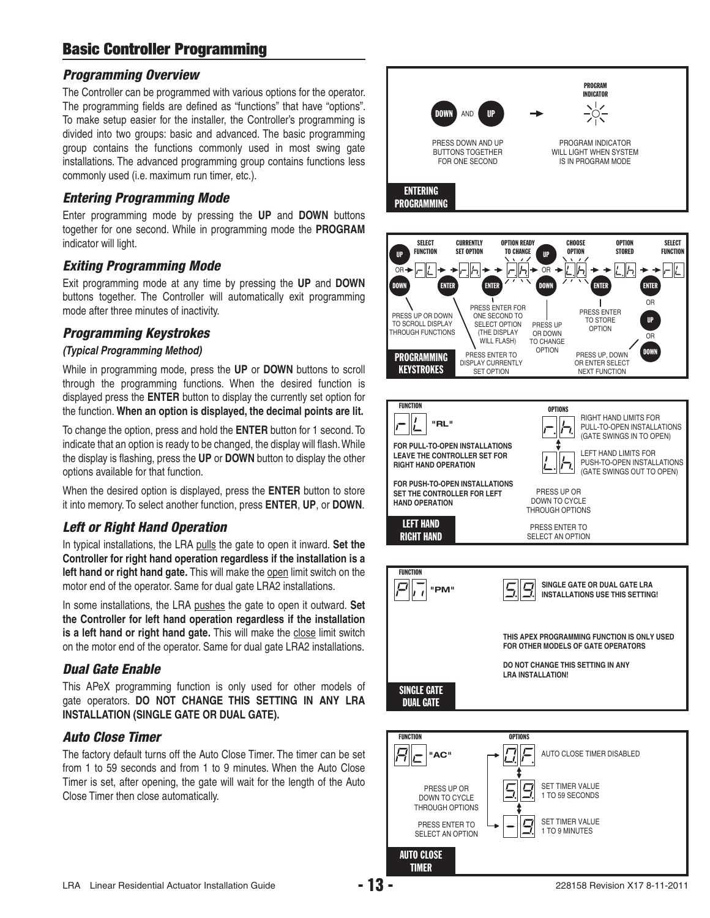## **Basic Controller Programming**

#### *Programming Overview*

The Controller can be programmed with various options for the operator. The programming fields are defined as "functions" that have "options". To make setup easier for the installer, the Controller's programming is divided into two groups: basic and advanced. The basic programming group contains the functions commonly used in most swing gate installations. The advanced programming group contains functions less commonly used (i.e. maximum run timer, etc.).

#### *Entering Programming Mode*

Enter programming mode by pressing the **UP** and **DOWN** buttons together for one second. While in programming mode the **PROGRAM** indicator will light.

#### *Exiting Programming Mode*

Exit programming mode at any time by pressing the **UP** and **DOWN** buttons together. The Controller will automatically exit programming mode after three minutes of inactivity.

#### *Programming Keystrokes*

#### *(Typical Programming Method)*

While in programming mode, press the **UP** or **DOWN** buttons to scroll through the programming functions. When the desired function is displayed press the **ENTER** button to display the currently set option for the function. **When an option is displayed, the decimal points are lit.**

To change the option, press and hold the **ENTER** button for 1 second. To indicate that an option is ready to be changed, the display will flash. While the display is flashing, press the UP or **DOWN** button to display the other options available for that function.

When the desired option is displayed, press the **ENTER** button to store it into memory. To select another function, press **ENTER**, **UP**, or **DOWN**.

#### *Left or Right Hand Operation*

In typical installations, the LRA pulls the gate to open it inward. **Set the Controller for right hand operation regardless if the installation is a left hand or right hand gate.** This will make the open limit switch on the motor end of the operator. Same for dual gate LRA2 installations.

In some installations, the LRA pushes the gate to open it outward. **Set the Controller for left hand operation regardless if the installation is a left hand or right hand gate.** This will make the close limit switch on the motor end of the operator. Same for dual gate LRA2 installations.

#### *Dual Gate Enable*

This APeX programming function is only used for other models of gate operators. **DO NOT CHANGE THIS SETTING IN ANY LRA INSTALLATION (SINGLE GATE OR DUAL GATE).**

#### *Auto Close Timer*

The factory default turns off the Auto Close Timer. The timer can be set from 1 to 59 seconds and from 1 to 9 minutes. When the Auto Close Timer is set, after opening, the gate will wait for the length of the Auto Close Timer then close automatically.

![](_page_14_Figure_19.jpeg)

![](_page_14_Picture_20.jpeg)

![](_page_14_Picture_21.jpeg)

**THIS APEX PROGRAMMING FUNCTION IS ONLY USED FOR OTHER MODELS OF GATE OPERATORS**

**DO NOT CHANGE THIS SETTING IN ANY LRA INSTALLATION!**

![](_page_14_Picture_24.jpeg)

SINGLE GATE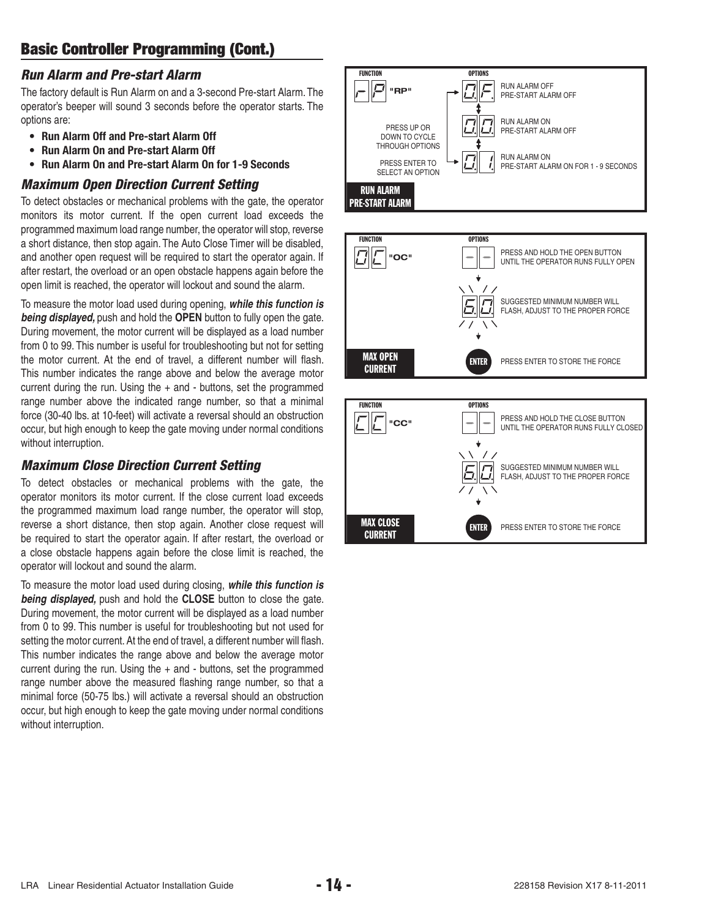#### *Run Alarm and Pre-start Alarm*

The factory default is Run Alarm on and a 3-second Pre-start Alarm. The operator's beeper will sound 3 seconds before the operator starts. The options are:

- **Run Alarm Off and Pre-start Alarm Off**
- **Run Alarm On and Pre-start Alarm Off**
- **Run Alarm On and Pre-start Alarm On for 1-9 Seconds**

## *Maximum Open Direction Current Setting*

To detect obstacles or mechanical problems with the gate, the operator monitors its motor current. If the open current load exceeds the programmed maximum load range number, the operator will stop, reverse a short distance, then stop again. The Auto Close Timer will be disabled, and another open request will be required to start the operator again. If after restart, the overload or an open obstacle happens again before the open limit is reached, the operator will lockout and sound the alarm.

To measure the motor load used during opening, *while this function is being displayed,* push and hold the **OPEN** button to fully open the gate. During movement, the motor current will be displayed as a load number from 0 to 99. This number is useful for troubleshooting but not for setting the motor current. At the end of travel, a different number will flash. This number indicates the range above and below the average motor current during the run. Using the  $+$  and  $-$  buttons, set the programmed range number above the indicated range number, so that a minimal force (30-40 lbs. at 10-feet) will activate a reversal should an obstruction occur, but high enough to keep the gate moving under normal conditions without interruption.

#### *Maximum Close Direction Current Setting*

To detect obstacles or mechanical problems with the gate, the operator monitors its motor current. If the close current load exceeds the programmed maximum load range number, the operator will stop, reverse a short distance, then stop again. Another close request will be required to start the operator again. If after restart, the overload or a close obstacle happens again before the close limit is reached, the operator will lockout and sound the alarm.

To measure the motor load used during closing, *while this function is being displayed,* push and hold the **CLOSE** button to close the gate. During movement, the motor current will be displayed as a load number from 0 to 99. This number is useful for troubleshooting but not used for setting the motor current. At the end of travel, a different number will flash. This number indicates the range above and below the average motor current during the run. Using the  $+$  and  $-$  buttons, set the programmed range number above the measured flashing range number, so that a minimal force (50-75 lbs.) will activate a reversal should an obstruction occur, but high enough to keep the gate moving under normal conditions without interruption.

![](_page_15_Figure_12.jpeg)

![](_page_15_Figure_13.jpeg)

CURRENT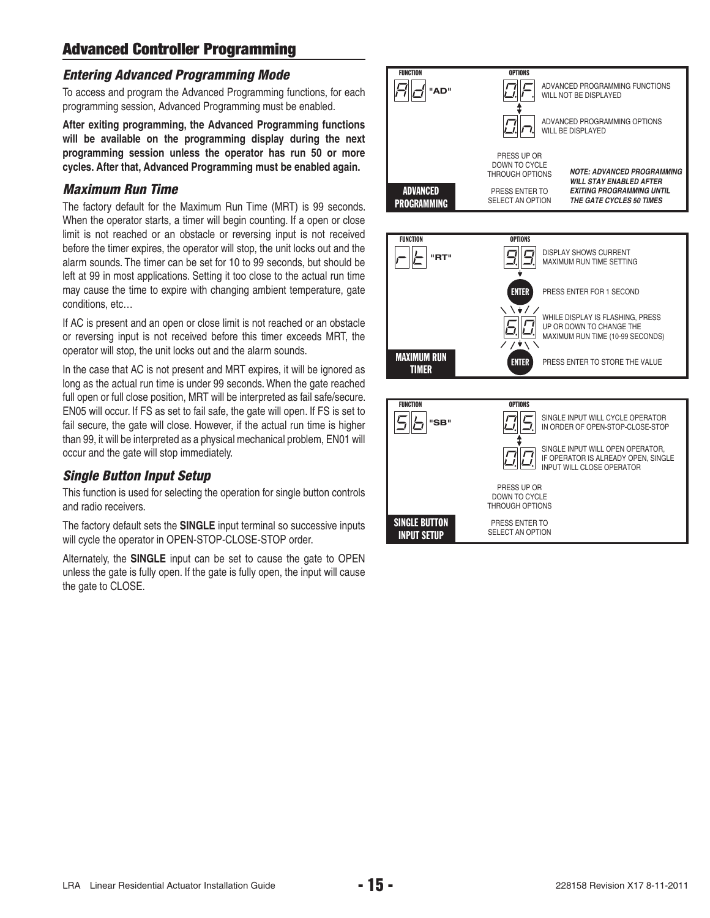## **Advanced Controller Programming**

#### *Entering Advanced Programming Mode*

To access and program the Advanced Programming functions, for each programming session, Advanced Programming must be enabled.

**After exiting programming, the Advanced Programming functions will be available on the programming display during the next programming session unless the operator has run 50 or more cycles. After that, Advanced Programming must be enabled again.**

#### *Maximum Run Time*

The factory default for the Maximum Run Time (MRT) is 99 seconds. When the operator starts, a timer will begin counting. If a open or close limit is not reached or an obstacle or reversing input is not received before the timer expires, the operator will stop, the unit locks out and the alarm sounds. The timer can be set for 10 to 99 seconds, but should be left at 99 in most applications. Setting it too close to the actual run time may cause the time to expire with changing ambient temperature, gate conditions, etc…

If AC is present and an open or close limit is not reached or an obstacle or reversing input is not received before this timer exceeds MRT, the operator will stop, the unit locks out and the alarm sounds.

In the case that AC is not present and MRT expires, it will be ignored as long as the actual run time is under 99 seconds. When the gate reached full open or full close position, MRT will be interpreted as fail safe/secure. EN05 will occur. If FS as set to fail safe, the gate will open. If FS is set to fail secure, the gate will close. However, if the actual run time is higher than 99, it will be interpreted as a physical mechanical problem, EN01 will occur and the gate will stop immediately.

#### *Single Button Input Setup*

This function is used for selecting the operation for single button controls and radio receivers.

The factory default sets the **SINGLE** input terminal so successive inputs will cycle the operator in OPEN-STOP-CLOSE-STOP order.

Alternately, the **SINGLE** input can be set to cause the gate to OPEN unless the gate is fully open. If the gate is fully open, the input will cause the gate to CLOSE.

![](_page_16_Figure_12.jpeg)

![](_page_16_Picture_13.jpeg)

![](_page_16_Figure_14.jpeg)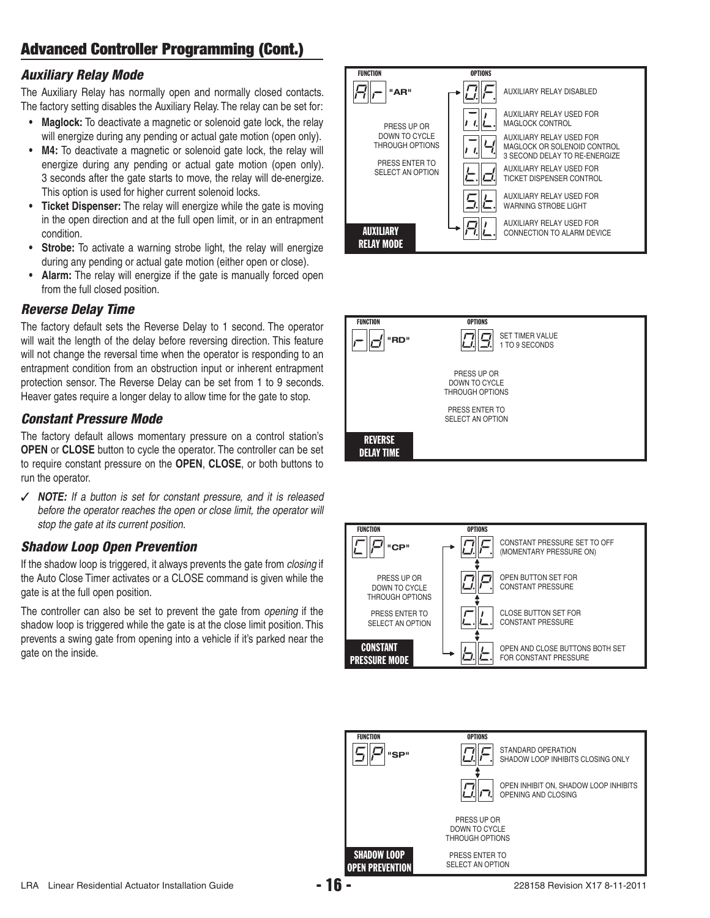#### *Auxiliary Relay Mode*

The Auxiliary Relay has normally open and normally closed contacts. The factory setting disables the Auxiliary Relay. The relay can be set for:

- **Maglock:** To deactivate a magnetic or solenoid gate lock, the relay will energize during any pending or actual gate motion (open only).
- **M4:** To deactivate a magnetic or solenoid gate lock, the relay will energize during any pending or actual gate motion (open only). 3 seconds after the gate starts to move, the relay will de-energize. This option is used for higher current solenoid locks.
- **Ticket Dispenser:** The relay will energize while the gate is moving in the open direction and at the full open limit, or in an entrapment condition.
- **Strobe:** To activate a warning strobe light, the relay will energize during any pending or actual gate motion (either open or close).
- **Alarm:** The relay will energize if the gate is manually forced open from the full closed position.

#### *Reverse Delay Time*

The factory default sets the Reverse Delay to 1 second. The operator will wait the length of the delay before reversing direction. This feature will not change the reversal time when the operator is responding to an entrapment condition from an obstruction input or inherent entrapment protection sensor. The Reverse Delay can be set from 1 to 9 seconds. Heaver gates require a longer delay to allow time for the gate to stop.

#### *Constant Pressure Mode*

The factory default allows momentary pressure on a control station's **OPEN** or **CLOSE** button to cycle the operator. The controller can be set to require constant pressure on the **OPEN**, **CLOSE**, or both buttons to run the operator.

✓ *NOTE: If a button is set for constant pressure, and it is released before the operator reaches the open or close limit, the operator will stop the gate at its current position.*

#### *Shadow Loop Open Prevention*

If the shadow loop is triggered, it always prevents the gate from *closing* if the Auto Close Timer activates or a CLOSE command is given while the gate is at the full open position.

The controller can also be set to prevent the gate from *opening* if the shadow loop is triggered while the gate is at the close limit position. This prevents a swing gate from opening into a vehicle if it's parked near the gate on the inside.

![](_page_17_Figure_16.jpeg)

![](_page_17_Figure_17.jpeg)

![](_page_17_Figure_18.jpeg)

![](_page_17_Figure_19.jpeg)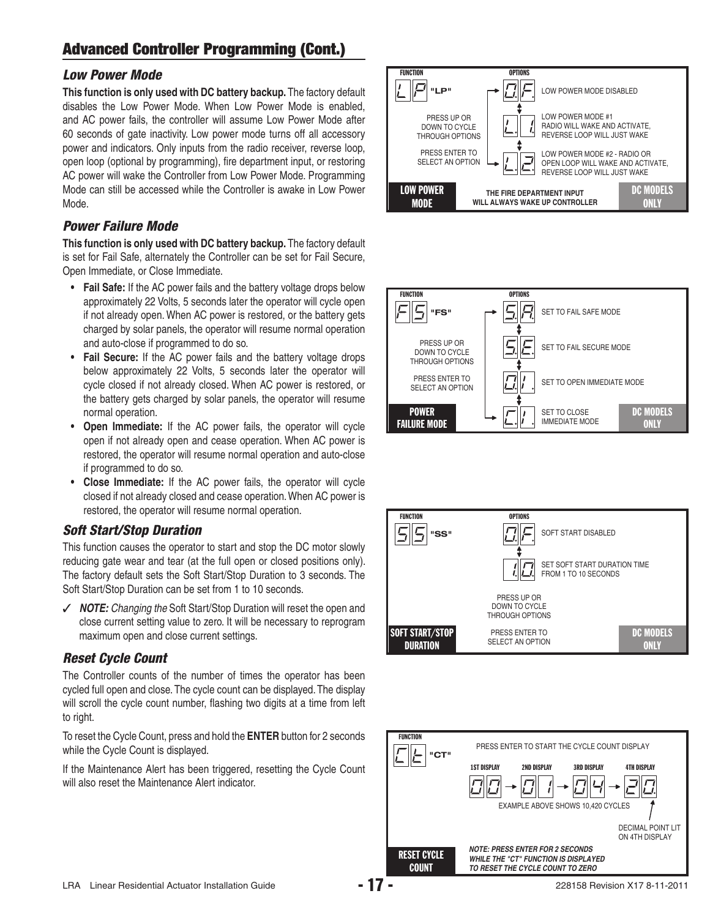#### *Low Power Mode*

**This function is only used with DC battery backup.** The factory default disables the Low Power Mode. When Low Power Mode is enabled, and AC power fails, the controller will assume Low Power Mode after 60 seconds of gate inactivity. Low power mode turns off all accessory power and indicators. Only inputs from the radio receiver, reverse loop, open loop (optional by programming), fire department input, or restoring AC power will wake the Controller from Low Power Mode. Programming Mode can still be accessed while the Controller is awake in Low Power Mode.

#### *Power Failure Mode*

**This function is only used with DC battery backup.** The factory default is set for Fail Safe, alternately the Controller can be set for Fail Secure, Open Immediate, or Close Immediate.

- **Fail Safe:** If the AC power fails and the battery voltage drops below approximately 22 Volts, 5 seconds later the operator will cycle open if not already open. When AC power is restored, or the battery gets charged by solar panels, the operator will resume normal operation and auto-close if programmed to do so.
- **Fail Secure:** If the AC power fails and the battery voltage drops below approximately 22 Volts, 5 seconds later the operator will cycle closed if not already closed. When AC power is restored, or the battery gets charged by solar panels, the operator will resume normal operation.
- **Open Immediate:** If the AC power fails, the operator will cycle open if not already open and cease operation. When AC power is restored, the operator will resume normal operation and auto-close if programmed to do so.
- **Close Immediate:** If the AC power fails, the operator will cycle closed if not already closed and cease operation. When AC power is restored, the operator will resume normal operation.

#### *Soft Start/Stop Duration*

This function causes the operator to start and stop the DC motor slowly reducing gate wear and tear (at the full open or closed positions only). The factory default sets the Soft Start/Stop Duration to 3 seconds. The Soft Start/Stop Duration can be set from 1 to 10 seconds.

✓ *NOTE: Changing the* Soft Start/Stop Duration will reset the open and close current setting value to zero. It will be necessary to reprogram maximum open and close current settings.

#### *Reset Cycle Count*

The Controller counts of the number of times the operator has been cycled full open and close. The cycle count can be displayed. The display will scroll the cycle count number, flashing two digits at a time from left to right.

To reset the Cycle Count, press and hold the **ENTER** button for 2 seconds while the Cycle Count is displayed.

If the Maintenance Alert has been triggered, resetting the Cycle Count will also reset the Maintenance Alert indicator.

![](_page_18_Figure_16.jpeg)

![](_page_18_Picture_17.jpeg)

![](_page_18_Figure_18.jpeg)

![](_page_18_Figure_19.jpeg)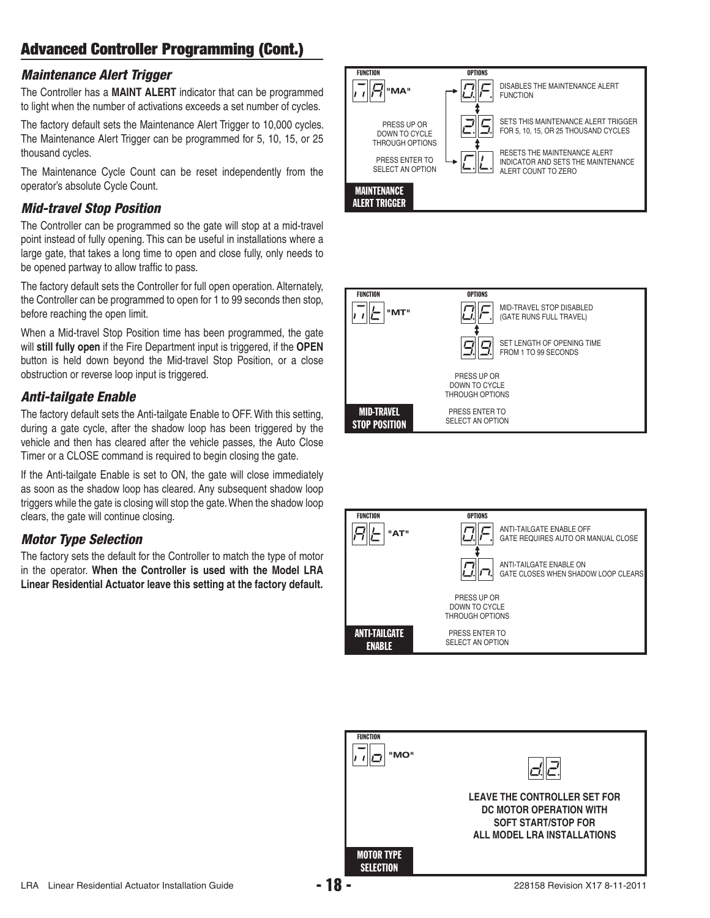#### *Maintenance Alert Trigger*

The Controller has a **MAINT ALERT** indicator that can be programmed to light when the number of activations exceeds a set number of cycles.

The factory default sets the Maintenance Alert Trigger to 10,000 cycles. The Maintenance Alert Trigger can be programmed for 5, 10, 15, or 25 thousand cycles.

The Maintenance Cycle Count can be reset independently from the operator's absolute Cycle Count.

#### *Mid-travel Stop Position*

The Controller can be programmed so the gate will stop at a mid-travel point instead of fully opening. This can be useful in installations where a large gate, that takes a long time to open and close fully, only needs to be opened partway to allow traffic to pass.

The factory default sets the Controller for full open operation. Alternately, the Controller can be programmed to open for 1 to 99 seconds then stop, before reaching the open limit.

When a Mid-travel Stop Position time has been programmed, the gate will **still fully open** if the Fire Department input is triggered, if the **OPEN** button is held down beyond the Mid-travel Stop Position, or a close obstruction or reverse loop input is triggered.

#### *Anti-tailgate Enable*

The factory default sets the Anti-tailgate Enable to OFF. With this setting, during a gate cycle, after the shadow loop has been triggered by the vehicle and then has cleared after the vehicle passes, the Auto Close Timer or a CLOSE command is required to begin closing the gate.

If the Anti-tailgate Enable is set to ON, the gate will close immediately as soon as the shadow loop has cleared. Any subsequent shadow loop triggers while the gate is closing will stop the gate. When the shadow loop clears, the gate will continue closing.

#### *Motor Type Selection*

The factory sets the default for the Controller to match the type of motor in the operator. **When the Controller is used with the Model LRA Linear Residential Actuator leave this setting at the factory default.**

![](_page_19_Picture_14.jpeg)

![](_page_19_Picture_15.jpeg)

![](_page_19_Figure_16.jpeg)

![](_page_19_Picture_17.jpeg)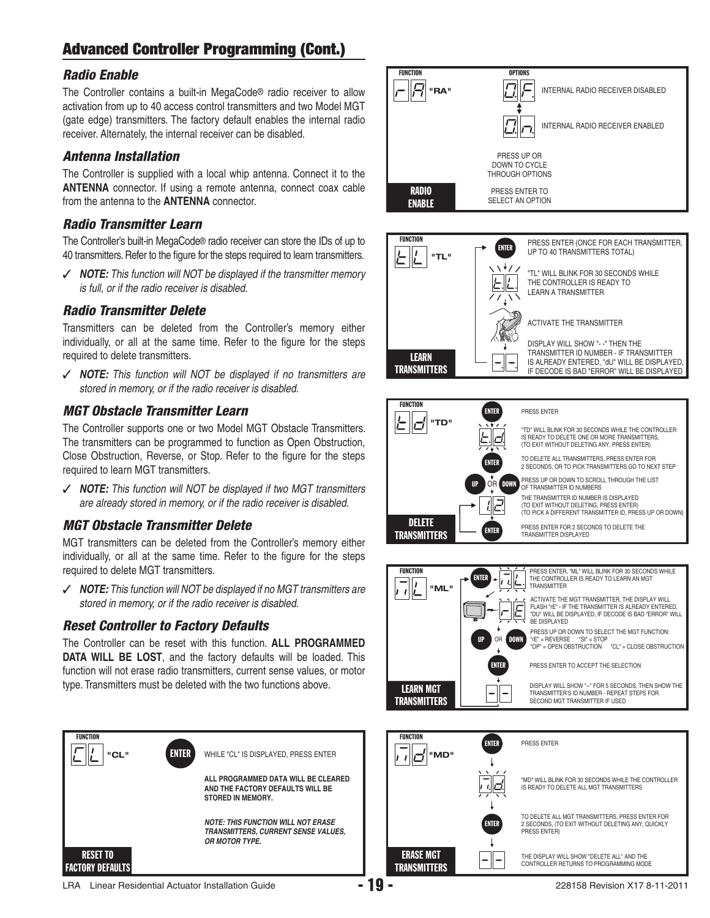#### *Radio Enable*

The Controller contains a built-in MegaCode® radio receiver to allow activation from up to 40 access control transmitters and two Model MGT (gate edge) transmitters. The factory default enables the internal radio receiver. Alternately, the internal receiver can be disabled.

#### *Antenna Installation*

The Controller is supplied with a local whip antenna. Connect it to the **ANTENNA** connector. If using a remote antenna, connect coax cable from the antenna to the **ANTENNA** connector.

#### *Radio Transmitter Learn*

The Controller's built-in MegaCode® radio receiver can store the IDs of up to 40 transmitters. Refer to the figure for the steps required to learn transmitters.

✓ *NOTE: This function will NOT be displayed if the transmitter memory is full, or if the radio receiver is disabled.*

#### *Radio Transmitter Delete*

Transmitters can be deleted from the Controller's memory either individually, or all at the same time. Refer to the figure for the steps required to delete transmitters.

✓ *NOTE: This function will NOT be displayed if no transmitters are stored in memory, or if the radio receiver is disabled.*

#### *MGT Obstacle Transmitter Learn*

The Controller supports one or two Model MGT Obstacle Transmitters. The transmitters can be programmed to function as Open Obstruction, Close Obstruction, Reverse, or Stop. Refer to the figure for the steps required to learn MGT transmitters.

✓ *NOTE: This function will NOT be displayed if two MGT transmitters are already stored in memory, or if the radio receiver is disabled.*

#### *MGT Obstacle Transmitter Delete*

MGT transmitters can be deleted from the Controller's memory either individually, or all at the same time. Refer to the figure for the steps required to delete MGT transmitters.

✓ *NOTE: This function will NOT be displayed if no MGT transmitters are stored in memory, or if the radio receiver is disabled.*

#### *Reset Controller to Factory Defaults*

The Controller can be reset with this function. **ALL PROGRAMMED DATA WILL BE LOST**, and the factory defaults will be loaded. This function will not erase radio transmitters, current sense values, or motor type. Transmitters must be deleted with the two functions above.

![](_page_20_Picture_19.jpeg)

![](_page_20_Figure_20.jpeg)

![](_page_20_Figure_21.jpeg)

![](_page_20_Figure_22.jpeg)

| <b>FUNCTION</b><br>"ML"          | <b>ENTER</b>                   | PRESS ENTER, "ML" WILL BLINK FOR 30 SECONDS WHILE<br>THE CONTROLLER IS READY TO LEARN AN MGT<br>TRANSMITTER                                                                           |
|----------------------------------|--------------------------------|---------------------------------------------------------------------------------------------------------------------------------------------------------------------------------------|
|                                  |                                | ACTIVATE THE MGT TRANSMITTER. THE DISPLAY WILL<br>FLASH "rE" - IF THE TRANSMITTER IS ALREADY ENTERED.<br>"DU" WILL BE DISPLAYED. IF DECODE IS BAD "ERROR" WILL<br><b>BE DISPLAYED</b> |
|                                  | <b>UP</b><br><b>DOWN</b><br>OR | PRESS UP OR DOWN TO SELECT THE MGT FUNCTION:<br>$'rE" = REVERSE$<br>$"St" = STOP$<br>"OP" = OPEN OBSTRUCTION<br>$"CL" = CLOSE OBSTRUCTION$                                            |
|                                  | <b>ENTER</b>                   | PRESS ENTER TO ACCEPT THE SELECTION                                                                                                                                                   |
| <b>LEARN MGT</b><br>TRANSMITTERS |                                | DISPLAY WILL SHOW "--" FOR 5 SECONDS. THEN SHOW THE<br>TRANSMITTER'S ID NUMBER - REPEAT STEPS FOR<br>SECOND MGT TRANSMITTER IF USED                                                   |

| <b>FUNCTION</b><br>"MD"          | <b>ENTER</b>    | PRESS ENTER                                                                                                          |
|----------------------------------|-----------------|----------------------------------------------------------------------------------------------------------------------|
|                                  | $\cdot$ $\cdot$ | "MD" WILL BLINK FOR 30 SECONDS WHILE THE CONTROLLER<br>IS READY TO DELETE ALL MGT TRANSMITTERS                       |
|                                  | <b>ENTER</b>    | TO DELETE ALL MGT TRANSMITTERS. PRESS ENTER FOR<br>2 SECONDS, (TO EXIT WITHOUT DELETING ANY, QUICKLY<br>PRESS ENTER) |
| <b>ERASE MGT</b><br>TRANSMITTERS |                 | THE DISPLAY WILL SHOW "DELETE ALL" AND THE<br>CONTROLLER RETURNS TO PROGRAMMING MODE                                 |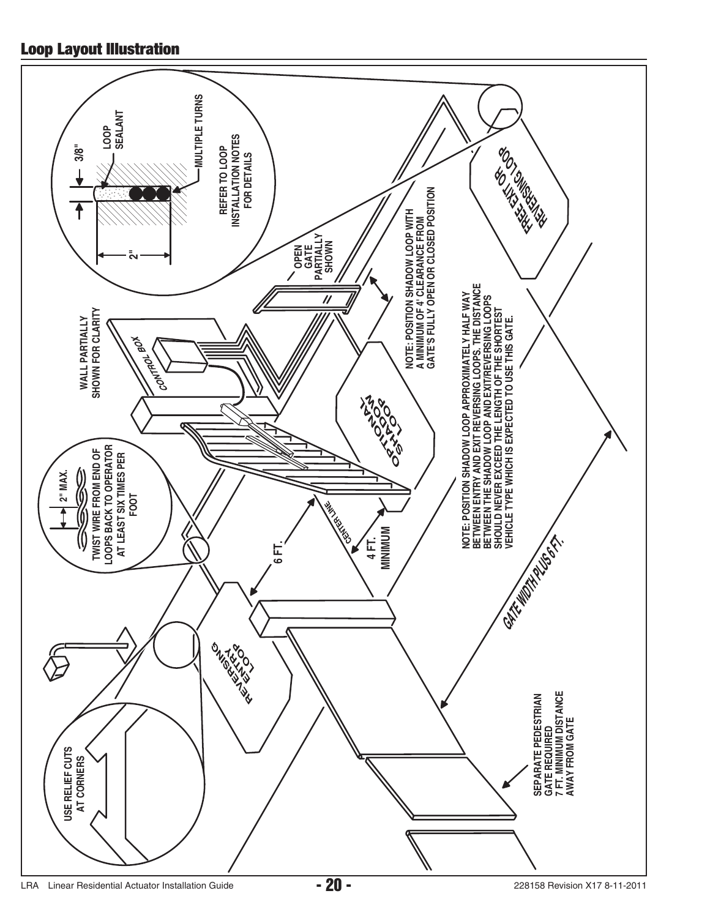## **Loop Layout Illustration**

![](_page_21_Figure_1.jpeg)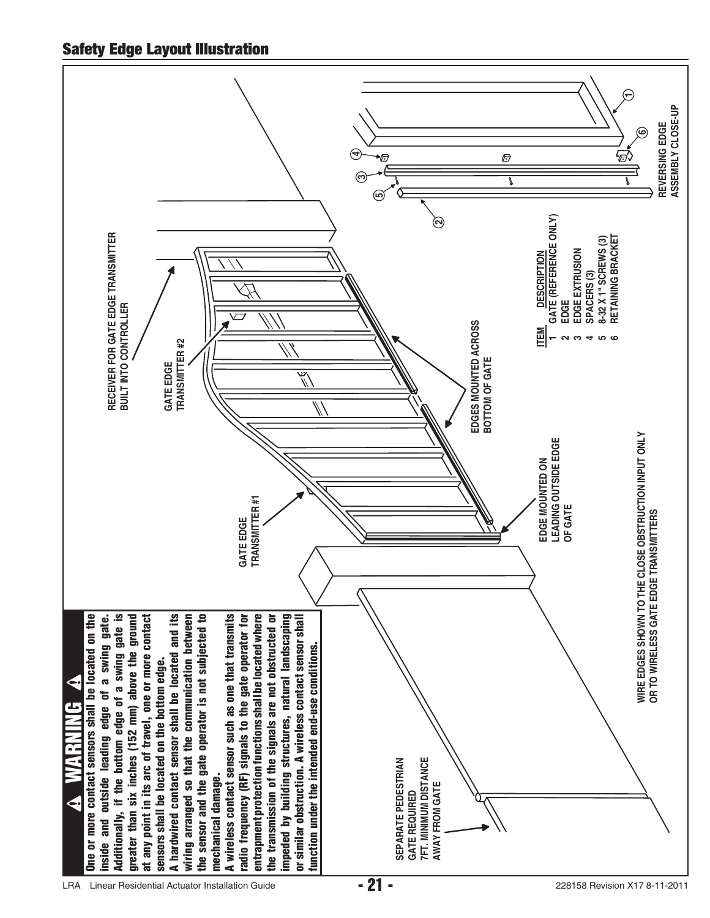![](_page_22_Figure_1.jpeg)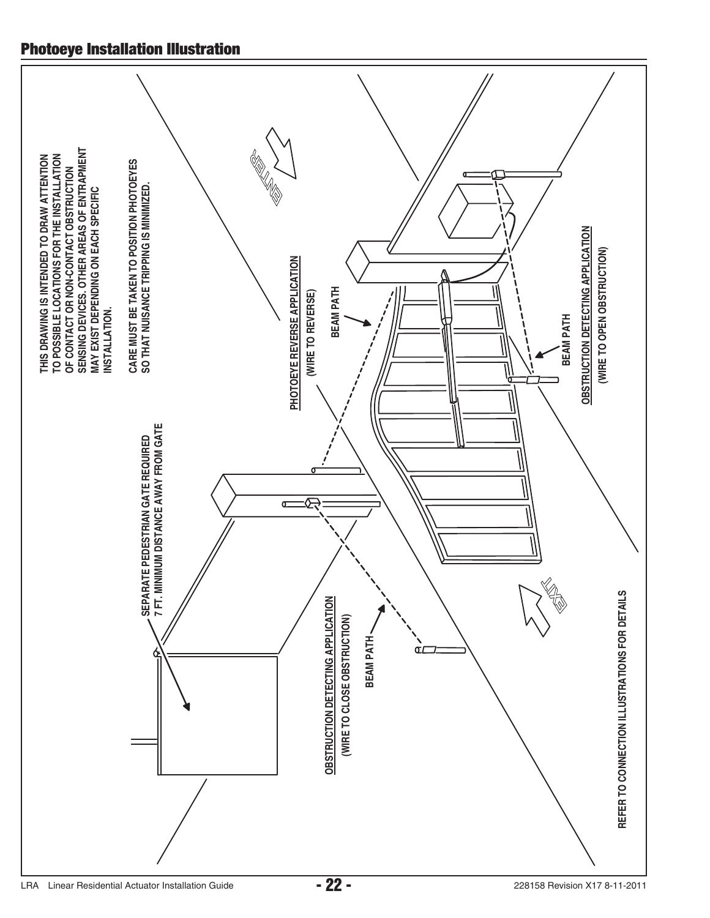## **Photoeye Installation Illustration**

![](_page_23_Figure_1.jpeg)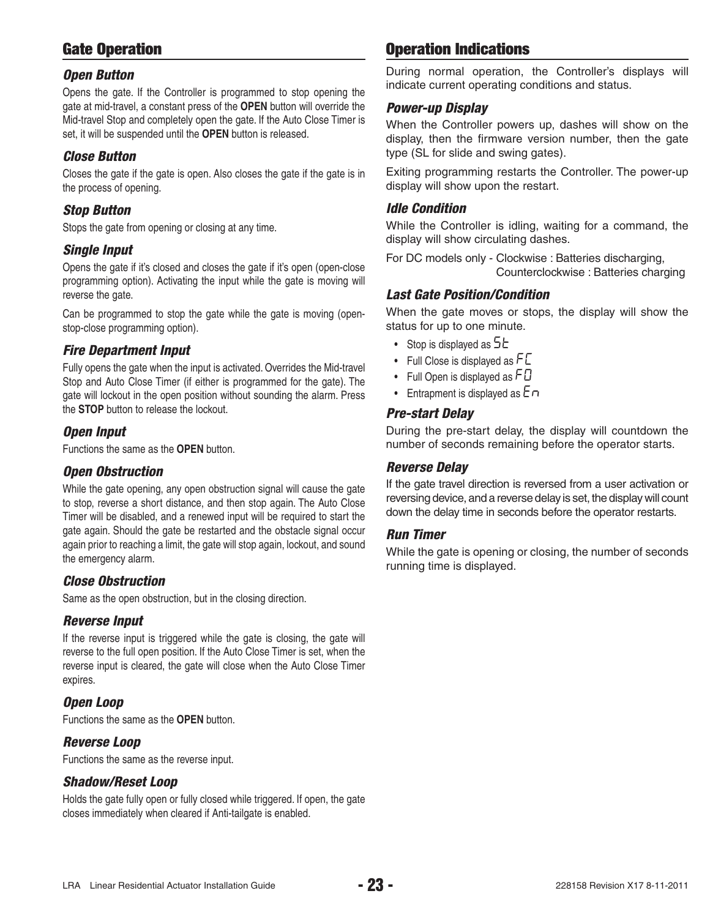## **Gate Operation**

#### *Open Button*

Opens the gate. If the Controller is programmed to stop opening the gate at mid-travel, a constant press of the **OPEN** button will override the Mid-travel Stop and completely open the gate. If the Auto Close Timer is set, it will be suspended until the **OPEN** button is released.

#### *Close Button*

Closes the gate if the gate is open. Also closes the gate if the gate is in the process of opening.

#### *Stop Button*

Stops the gate from opening or closing at any time.

#### *Single Input*

Opens the gate if it's closed and closes the gate if it's open (open-close programming option). Activating the input while the gate is moving will reverse the gate.

Can be programmed to stop the gate while the gate is moving (openstop-close programming option).

#### *Fire Department Input*

Fully opens the gate when the input is activated. Overrides the Mid-travel Stop and Auto Close Timer (if either is programmed for the gate). The gate will lockout in the open position without sounding the alarm. Press the **STOP** button to release the lockout.

#### *Open Input*

Functions the same as the **OPEN** button.

#### *Open Obstruction*

While the gate opening, any open obstruction signal will cause the gate to stop, reverse a short distance, and then stop again. The Auto Close Timer will be disabled, and a renewed input will be required to start the gate again. Should the gate be restarted and the obstacle signal occur again prior to reaching a limit, the gate will stop again, lockout, and sound the emergency alarm.

#### *Close Obstruction*

Same as the open obstruction, but in the closing direction.

#### *Reverse Input*

If the reverse input is triggered while the gate is closing, the gate will reverse to the full open position. If the Auto Close Timer is set, when the reverse input is cleared, the gate will close when the Auto Close Timer expires.

#### *Open Loop*

Functions the same as the **OPEN** button.

#### *Reverse Loop*

Functions the same as the reverse input.

#### *Shadow/Reset Loop*

Holds the gate fully open or fully closed while triggered. If open, the gate closes immediately when cleared if Anti-tailgate is enabled.

## **Operation Indications**

During normal operation, the Controller's displays will indicate current operating conditions and status.

#### *Power-up Display*

When the Controller powers up, dashes will show on the display, then the firmware version number, then the gate type (SL for slide and swing gates).

Exiting programming restarts the Controller. The power-up display will show upon the restart.

#### *Idle Condition*

While the Controller is idling, waiting for a command, the display will show circulating dashes.

For DC models only - Clockwise : Batteries discharging, Counterclockwise : Batteries charging

#### *Last Gate Position/Condition*

When the gate moves or stops, the display will show the status for up to one minute.

- Stop is displayed as  $5E$
- Full Close is displayed as  $FL$
- Full Open is displayed as  $FD$
- Entrapment is displayed as  $E \cap$

#### *Pre-start Delay*

During the pre-start delay, the display will countdown the number of seconds remaining before the operator starts.

#### *Reverse Delay*

If the gate travel direction is reversed from a user activation or reversing device, and a reverse delay is set, the display will count down the delay time in seconds before the operator restarts.

#### *Run Timer*

While the gate is opening or closing, the number of seconds running time is displayed.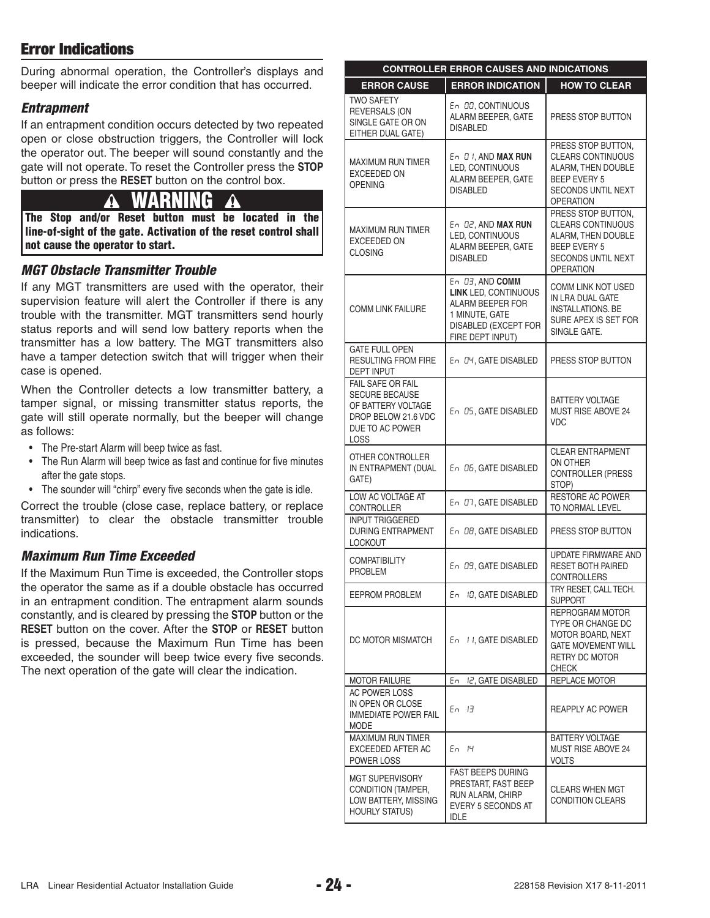## **Error Indications**

During abnormal operation, the Controller's displays and beeper will indicate the error condition that has occurred.

#### *Entrapment*

If an entrapment condition occurs detected by two repeated open or close obstruction triggers, the Controller will lock the operator out. The beeper will sound constantly and the gate will not operate. To reset the Controller press the **STOP** button or press the **RESET** button on the control box.

# **WARNING**

**The Stop and/or Reset button must be located in the line-of-sight of the gate. Activation of the reset control shall not cause the operator to start.**

#### *MGT Obstacle Transmitter Trouble*

If any MGT transmitters are used with the operator, their supervision feature will alert the Controller if there is any trouble with the transmitter. MGT transmitters send hourly status reports and will send low battery reports when the transmitter has a low battery. The MGT transmitters also have a tamper detection switch that will trigger when their case is opened.

When the Controller detects a low transmitter battery, a tamper signal, or missing transmitter status reports, the gate will still operate normally, but the beeper will change as follows:

- The Pre-start Alarm will beep twice as fast.
- The Run Alarm will beep twice as fast and continue for five minutes after the gate stops.
- The sounder will "chirp" every five seconds when the gate is idle.

Correct the trouble (close case, replace battery, or replace transmitter) to clear the obstacle transmitter trouble indications.

#### *Maximum Run Time Exceeded*

If the Maximum Run Time is exceeded, the Controller stops the operator the same as if a double obstacle has occurred in an entrapment condition. The entrapment alarm sounds constantly, and is cleared by pressing the **STOP** button or the **RESET** button on the cover. After the **STOP** or **RESET** button is pressed, because the Maximum Run Time has been exceeded, the sounder will beep twice every five seconds. The next operation of the gate will clear the indication.

|                                                                                                                           | <b>CONTROLLER ERROR CAUSES AND INDICATIONS</b>                                                                                   |                                                                                                                                       |  |  |  |  |
|---------------------------------------------------------------------------------------------------------------------------|----------------------------------------------------------------------------------------------------------------------------------|---------------------------------------------------------------------------------------------------------------------------------------|--|--|--|--|
| <b>ERROR CAUSE</b>                                                                                                        | <b>ERROR INDICATION</b>                                                                                                          | <b>HOW TO CLEAR</b>                                                                                                                   |  |  |  |  |
| <b>TWO SAFETY</b><br><b>REVERSALS (ON</b><br>SINGLE GATE OR ON<br>EITHER DUAL GATE)                                       | En 00, CONTINUOUS<br>ALARM BEEPER, GATE<br><b>DISABLED</b>                                                                       | PRESS STOP BUTTON                                                                                                                     |  |  |  |  |
| MAXIMUM RUN TIMER<br><b>EXCEEDED ON</b><br><b>OPENING</b>                                                                 | $E \cap B$ I, AND MAX RUN<br>LED, CONTINUOUS<br>ALARM BEEPER, GATE<br><b>DISABLED</b>                                            | PRESS STOP BUTTON,<br><b>CLEARS CONTINUOUS</b><br>ALARM, THEN DOUBLE<br><b>BEEP EVERY 5</b><br>SECONDS UNTIL NEXT<br><b>OPERATION</b> |  |  |  |  |
| <b>MAXIMUM RUN TIMER</b><br>EXCEEDED ON<br><b>CLOSING</b>                                                                 | En D2, AND MAX RUN<br>LED, CONTINUOUS<br>ALARM BEEPER, GATE<br><b>DISABLED</b>                                                   | PRESS STOP BUTTON,<br><b>CLEARS CONTINUOUS</b><br>ALARM, THEN DOUBLE<br><b>BEEP EVERY 5</b><br>SECONDS UNTIL NEXT<br><b>OPERATION</b> |  |  |  |  |
| <b>COMM LINK FAILURE</b>                                                                                                  | En 03, AND COMM<br><b>LINK LED, CONTINUOUS</b><br>ALARM BEEPER FOR<br>1 MINUTE, GATE<br>DISABLED (EXCEPT FOR<br>FIRE DEPT INPUT) | <b>COMM LINK NOT USED</b><br>IN LRA DUAL GATE<br><b>INSTALLATIONS, BE</b><br>SURE APEX IS SET FOR<br>SINGLE GATE.                     |  |  |  |  |
| <b>GATE FULL OPEN</b><br><b>RESULTING FROM FIRE</b><br><b>DEPT INPUT</b>                                                  | En D4, GATE DISABLED                                                                                                             | PRESS STOP BUTTON                                                                                                                     |  |  |  |  |
| <b>FAIL SAFE OR FAIL</b><br><b>SECURE BECAUSE</b><br>OF BATTERY VOLTAGE<br>DROP BELOW 21.6 VDC<br>DUE TO AC POWER<br>LOSS | En 05, GATE DISABLED                                                                                                             | <b>BATTERY VOLTAGE</b><br>MUST RISE ABOVE 24<br><b>VDC</b>                                                                            |  |  |  |  |
| OTHER CONTROLLER<br>IN ENTRAPMENT (DUAL<br>GATE)                                                                          | En 06, GATE DISABLED                                                                                                             | <b>CLEAR ENTRAPMENT</b><br>ON OTHER<br>CONTROLLER (PRESS<br>STOP)                                                                     |  |  |  |  |
| LOW AC VOLTAGE AT<br>CONTROLLER                                                                                           | En 07, GATE DISABLED                                                                                                             | <b>RESTORE AC POWER</b><br>TO NORMAL LEVEL                                                                                            |  |  |  |  |
| <b>INPUT TRIGGERED</b><br><b>DURING ENTRAPMENT</b><br><b>LOCKOUT</b>                                                      | En 08, GATE DISABLED                                                                                                             | PRESS STOP BUTTON                                                                                                                     |  |  |  |  |
| <b>COMPATIBILITY</b><br><b>PROBLEM</b>                                                                                    | En 09, GATE DISABLED                                                                                                             | UPDATE FIRMWARE AND<br><b>RESET BOTH PAIRED</b><br><b>CONTROLLERS</b>                                                                 |  |  |  |  |
| EEPROM PROBLEM                                                                                                            | En ID, GATE DISABLED                                                                                                             | TRY RESET, CALL TECH.<br><b>SUPPORT</b>                                                                                               |  |  |  |  |
| DC MOTOR MISMATCH                                                                                                         | En II. GATE DISABLED                                                                                                             | REPROGRAM MOTOR<br>TYPE OR CHANGE DC<br>MOTOR BOARD, NEXT<br><b>GATE MOVEMENT WILL</b><br>RETRY DC MOTOR<br>CHECK                     |  |  |  |  |
| <b>MOTOR FAILURE</b>                                                                                                      | I2, GATE DISABLED<br>En                                                                                                          | REPLACE MOTOR                                                                                                                         |  |  |  |  |
| AC POWER LOSS<br>IN OPEN OR CLOSE<br><b>IMMEDIATE POWER FAIL</b><br>MODE                                                  | En 13                                                                                                                            | <b>REAPPLY AC POWER</b>                                                                                                               |  |  |  |  |
| MAXIMUM RUN TIMER<br>EXCEEDED AFTER AC<br>POWER LOSS                                                                      | En 14                                                                                                                            | <b>BATTERY VOLTAGE</b><br>MUST RISE ABOVE 24<br>VOLTS                                                                                 |  |  |  |  |
| <b>MGT SUPERVISORY</b><br>CONDITION (TAMPER,<br>LOW BATTERY, MISSING<br><b>HOURLY STATUS)</b>                             | <b>FAST BEEPS DURING</b><br>PRESTART, FAST BEEP<br>RUN ALARM, CHIRP<br>EVERY 5 SECONDS AT<br><b>IDLE</b>                         | <b>CLEARS WHEN MGT</b><br><b>CONDITION CLEARS</b>                                                                                     |  |  |  |  |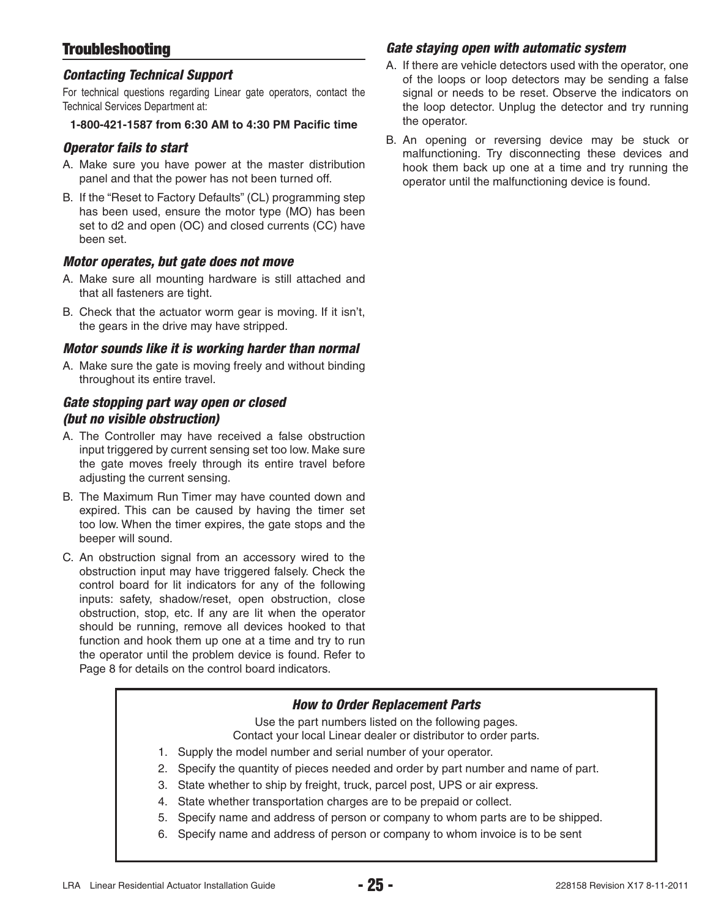## **Troubleshooting**

#### *Contacting Technical Support*

For technical questions regarding Linear gate operators, contact the Technical Services Department at:

#### **1-800-421-1587 from 6:30 AM to 4:30 PM Pacific time**

#### *Operator fails to start*

- A. Make sure you have power at the master distribution panel and that the power has not been turned off.
- B. If the "Reset to Factory Defaults" (CL) programming step has been used, ensure the motor type (MO) has been set to d2 and open (OC) and closed currents (CC) have been set.

#### *Motor operates, but gate does not move*

- A. Make sure all mounting hardware is still attached and that all fasteners are tight.
- B. Check that the actuator worm gear is moving. If it isn't, the gears in the drive may have stripped.

#### *Motor sounds like it is working harder than normal*

A. Make sure the gate is moving freely and without binding throughout its entire travel.

#### *Gate stopping part way open or closed (but no visible obstruction)*

- A. The Controller may have received a false obstruction input triggered by current sensing set too low. Make sure the gate moves freely through its entire travel before adjusting the current sensing.
- B. The Maximum Run Timer may have counted down and expired. This can be caused by having the timer set too low. When the timer expires, the gate stops and the beeper will sound.
- C. An obstruction signal from an accessory wired to the obstruction input may have triggered falsely. Check the control board for lit indicators for any of the following inputs: safety, shadow/reset, open obstruction, close obstruction, stop, etc. If any are lit when the operator should be running, remove all devices hooked to that function and hook them up one at a time and try to run the operator until the problem device is found. Refer to Page 8 for details on the control board indicators.

#### *Gate staying open with automatic system*

- A. If there are vehicle detectors used with the operator, one of the loops or loop detectors may be sending a false signal or needs to be reset. Observe the indicators on the loop detector. Unplug the detector and try running the operator.
- B. An opening or reversing device may be stuck or malfunctioning. Try disconnecting these devices and hook them back up one at a time and try running the operator until the malfunctioning device is found.

#### *How to Order Replacement Parts*

Use the part numbers listed on the following pages.

Contact your local Linear dealer or distributor to order parts.

- 1. Supply the model number and serial number of your operator.
- 2. Specify the quantity of pieces needed and order by part number and name of part.
- 3. State whether to ship by freight, truck, parcel post, UPS or air express.
- 4. State whether transportation charges are to be prepaid or collect.
- 5. Specify name and address of person or company to whom parts are to be shipped.
- 6. Specify name and address of person or company to whom invoice is to be sent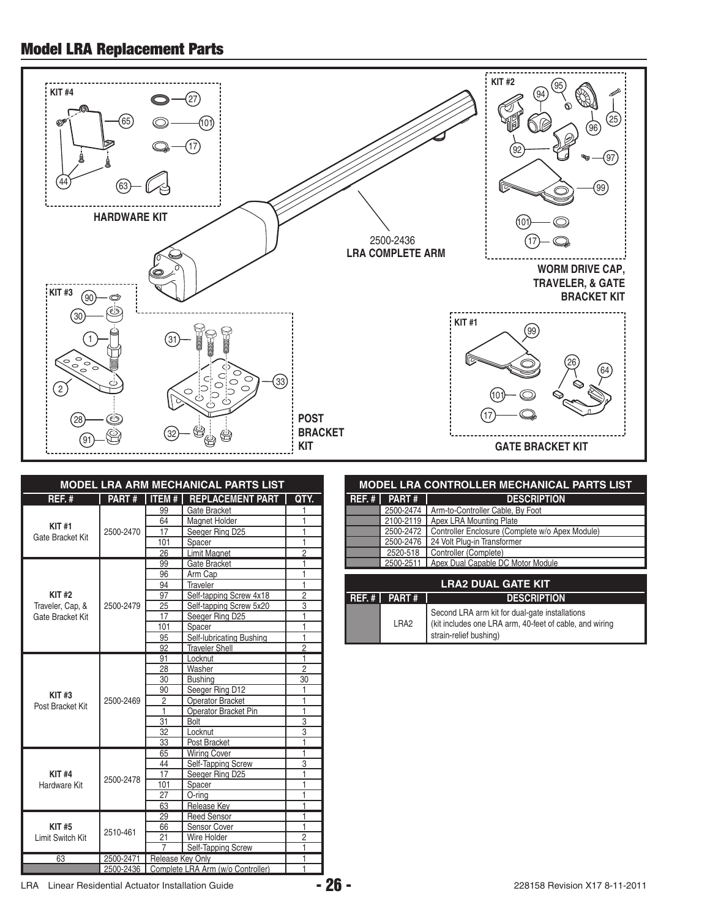## **Model LRA Replacement Parts**

![](_page_27_Figure_1.jpeg)

| <b>MODEL LRA ARM MECHANICAL PARTS LIST</b> |              |                  |                                   |                |
|--------------------------------------------|--------------|------------------|-----------------------------------|----------------|
| REF.#                                      | <b>PART#</b> | <b>ITEM#</b>     | <b>REPLACEMENT PART</b>           | QTY.           |
|                                            |              | 99               | Gate Bracket                      |                |
|                                            |              | 64               | <b>Magnet Holder</b>              |                |
| <b>KIT#1</b>                               | 2500-2470    | 17               | Seeger Ring D25                   | 1              |
| Gate Bracket Kit                           |              | 101              | Spacer                            | 1              |
|                                            |              | 26               | <b>Limit Magnet</b>               | $\overline{2}$ |
|                                            |              | 99               | Gate Bracket                      | 1              |
|                                            |              | 96               | Arm Cap                           | 1              |
|                                            |              | 94               | Traveler                          | 1              |
| <b>KIT#2</b>                               |              | 97               | Self-tapping Screw 4x18           | $\overline{2}$ |
| Traveler, Cap, &                           | 2500-2479    | 25               | Self-tapping Screw 5x20           | 3              |
| Gate Bracket Kit                           |              | 17               | Seeger Ring D25                   | 1              |
|                                            |              | 101              | <b>Spacer</b>                     | 1              |
|                                            |              | 95               | Self-lubricating Bushing          | 1              |
|                                            |              | 92               | <b>Traveler Shell</b>             | $\overline{2}$ |
|                                            |              | 91               | Locknut                           | 1              |
|                                            |              | 28               | Washer                            | $\overline{2}$ |
|                                            |              | 30               | <b>Bushing</b>                    | 30             |
| KIT#3                                      |              | 90               | Seeger Ring D12                   | 1              |
| Post Bracket Kit                           | 2500-2469    | $\overline{c}$   | Operator Bracket                  | 1              |
|                                            |              | 1                | Operator Bracket Pin              | 1              |
|                                            |              | 31               | Bolt                              | $\overline{3}$ |
|                                            |              | 32               | Locknut                           | 3              |
|                                            |              | 33               | Post Bracket                      | 1              |
|                                            |              | 65               | <b>Wiring Cover</b>               | 1              |
|                                            |              | 44               | Self-Tapping Screw                | 3              |
| <b>KIT#4</b>                               | 2500-2478    | 17               | Seeger Ring D25                   | 1              |
| Hardware Kit                               |              | 101              | Spacer                            | 1              |
|                                            |              | 27               | O-ring                            | 1              |
|                                            |              | 63               | Release Kev                       | 1              |
|                                            |              | 29               | <b>Reed Sensor</b>                | 1              |
| <b>KIT#5</b>                               | 2510-461     | 66               | Sensor Cover                      | 1              |
| Limit Switch Kit                           |              | 21               | Wire Holder                       | $\overline{2}$ |
|                                            |              | 7                | Self-Tapping Screw                | 1              |
| 63                                         | 2500-2471    | Release Key Only |                                   | 1              |
|                                            | 2500-2436    |                  | Complete LRA Arm (w/o Controller) | 1              |

| <b>MODEL LRA CONTROLLER MECHANICAL PARTS LIST</b> |              |                                                             |  |  |  |
|---------------------------------------------------|--------------|-------------------------------------------------------------|--|--|--|
| $REF.$ #                                          | <b>PART#</b> | <b>DESCRIPTION</b>                                          |  |  |  |
|                                                   | 2500-2474    | Arm-to-Controller Cable, By Foot                            |  |  |  |
|                                                   | 2100-2119    | Apex LRA Mounting Plate                                     |  |  |  |
|                                                   |              | 2500-2472   Controller Enclosure (Complete w/o Apex Module) |  |  |  |
|                                                   | 2500-2476    | 24 Volt Plug-in Transformer                                 |  |  |  |
|                                                   | 2520-518     | Controller (Complete)                                       |  |  |  |
| 2500-2511   Apex Dual Capable DC Motor Module     |              |                                                             |  |  |  |
|                                                   |              |                                                             |  |  |  |
| <b>LRA2 DUAL GATE KIT</b>                         |              |                                                             |  |  |  |

| LRAZ DUAL GATE NT |                       |                                                                                                                                     |  |  |
|-------------------|-----------------------|-------------------------------------------------------------------------------------------------------------------------------------|--|--|
|                   | REF. # $\vert$ PART # | <b>DESCRIPTION</b>                                                                                                                  |  |  |
|                   | LRA <sub>2</sub>      | Second LRA arm kit for dual-gate installations<br>(kit includes one LRA arm, 40-feet of cable, and wiring<br>strain-relief bushing) |  |  |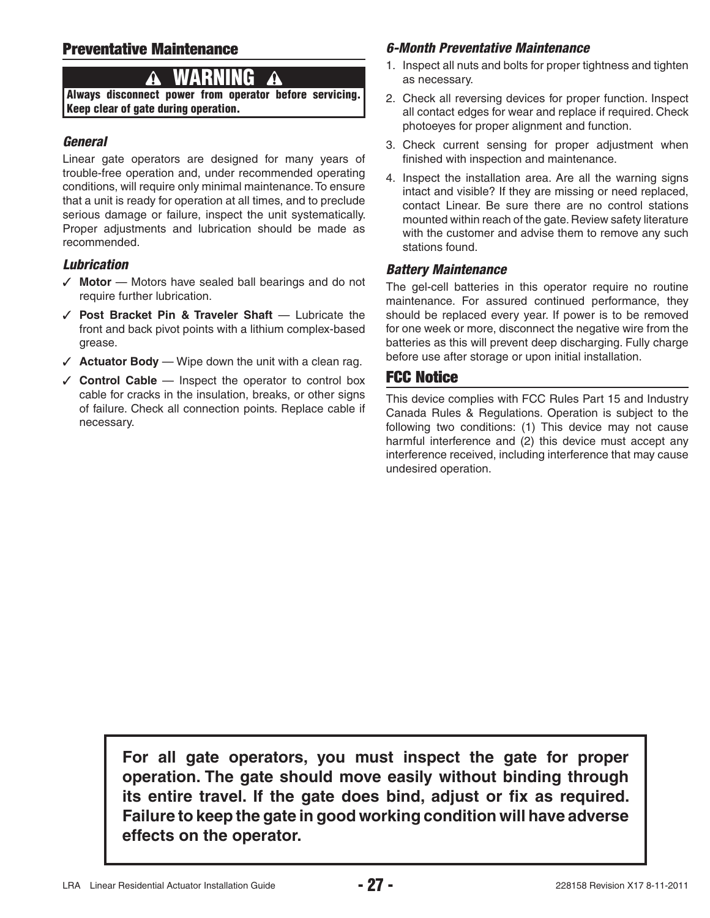## **Preventative Maintenance**

# **WARNING**

**Always disconnect power from operator before servicing. Keep clear of gate during operation.**

#### *General*

Linear gate operators are designed for many years of trouble-free operation and, under recommended operating conditions, will require only minimal maintenance. To ensure that a unit is ready for operation at all times, and to preclude serious damage or failure, inspect the unit systematically. Proper adjustments and lubrication should be made as recommended.

#### *Lubrication*

- ✓ **Motor** Motors have sealed ball bearings and do not require further lubrication.
- ✓ **Post Bracket Pin & Traveler Shaft** Lubricate the front and back pivot points with a lithium complex-based grease.
- ✓ **Actuator Body** Wipe down the unit with a clean rag.
- ✓ **Control Cable** Inspect the operator to control box cable for cracks in the insulation, breaks, or other signs of failure. Check all connection points. Replace cable if necessary.

#### *6-Month Preventative Maintenance*

- 1. Inspect all nuts and bolts for proper tightness and tighten as necessary.
- 2. Check all reversing devices for proper function. Inspect all contact edges for wear and replace if required. Check photoeyes for proper alignment and function.
- 3. Check current sensing for proper adjustment when finished with inspection and maintenance.
- 4. Inspect the installation area. Are all the warning signs intact and visible? If they are missing or need replaced, contact Linear. Be sure there are no control stations mounted within reach of the gate. Review safety literature with the customer and advise them to remove any such stations found.

#### *Battery Maintenance*

The gel-cell batteries in this operator require no routine maintenance. For assured continued performance, they should be replaced every year. If power is to be removed for one week or more, disconnect the negative wire from the batteries as this will prevent deep discharging. Fully charge before use after storage or upon initial installation.

## **FCC Notice**

This device complies with FCC Rules Part 15 and Industry Canada Rules & Regulations. Operation is subject to the following two conditions: (1) This device may not cause harmful interference and (2) this device must accept any interference received, including interference that may cause undesired operation.

**For all gate operators, you must inspect the gate for proper operation. The gate should move easily without binding through**  its entire travel. If the gate does bind, adjust or fix as required. **Failure to keep the gate in good working condition will have adverse effects on the operator.**